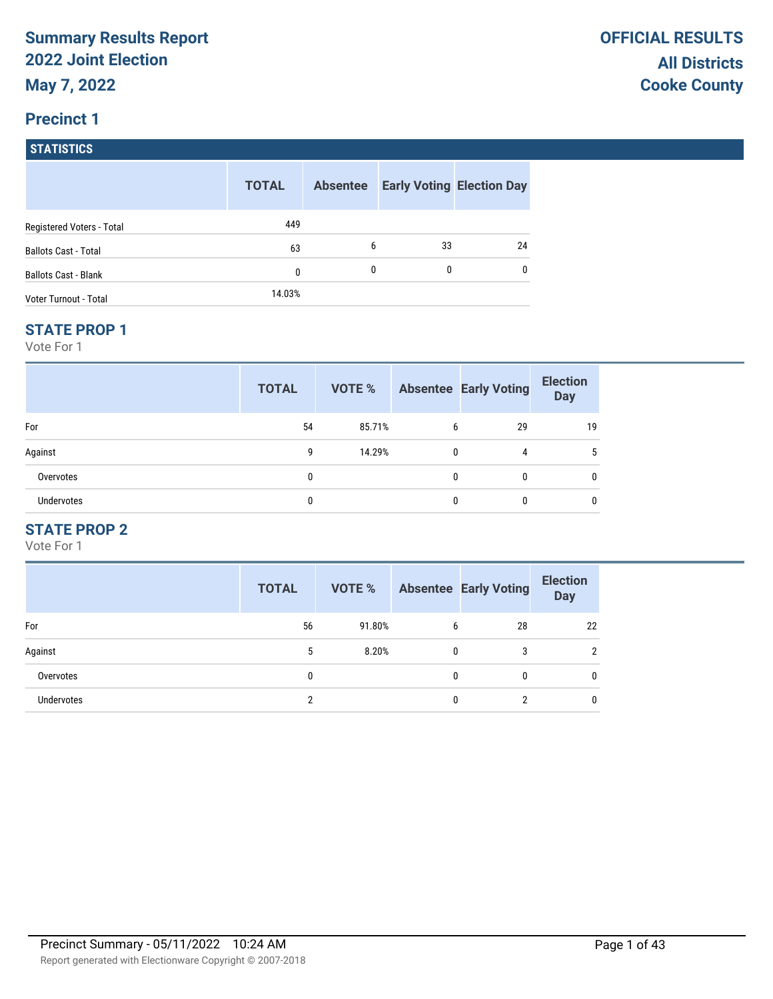## **Precinct 1**

**STATISTICS**

|                             | <b>TOTAL</b> | <b>Absentee</b> | <b>Early Voting Election Day</b> |    |
|-----------------------------|--------------|-----------------|----------------------------------|----|
| Registered Voters - Total   | 449          |                 |                                  |    |
| <b>Ballots Cast - Total</b> | 63           | 6               | 33                               | 24 |
| <b>Ballots Cast - Blank</b> | 0            | 0               | 0                                | 0  |
| Voter Turnout - Total       | 14.03%       |                 |                                  |    |

#### **STATE PROP 1**

Vote For 1

|                   | <b>TOTAL</b> | VOTE % |              | <b>Absentee Early Voting</b> | <b>Election</b><br><b>Day</b> |
|-------------------|--------------|--------|--------------|------------------------------|-------------------------------|
| For               | 54           | 85.71% | 6            | 29                           | 19                            |
| Against           | g            | 14.29% | $\mathbf{0}$ | 4                            |                               |
| Overvotes         | 0            |        | 0            | 0                            |                               |
| <b>Undervotes</b> | 0            |        | 0            |                              |                               |

## **STATE PROP 2**

|                   | <b>TOTAL</b> | <b>VOTE %</b> |   | <b>Absentee Early Voting</b> | <b>Election</b><br><b>Day</b> |
|-------------------|--------------|---------------|---|------------------------------|-------------------------------|
| For               | 56           | 91.80%        | 6 | 28                           | 22                            |
| Against           | 5            | 8.20%         | 0 | 3                            | $\overline{2}$                |
| Overvotes         | 0            |               | 0 | 0                            | 0                             |
| <b>Undervotes</b> | 2            |               | 0 | っ                            | 0                             |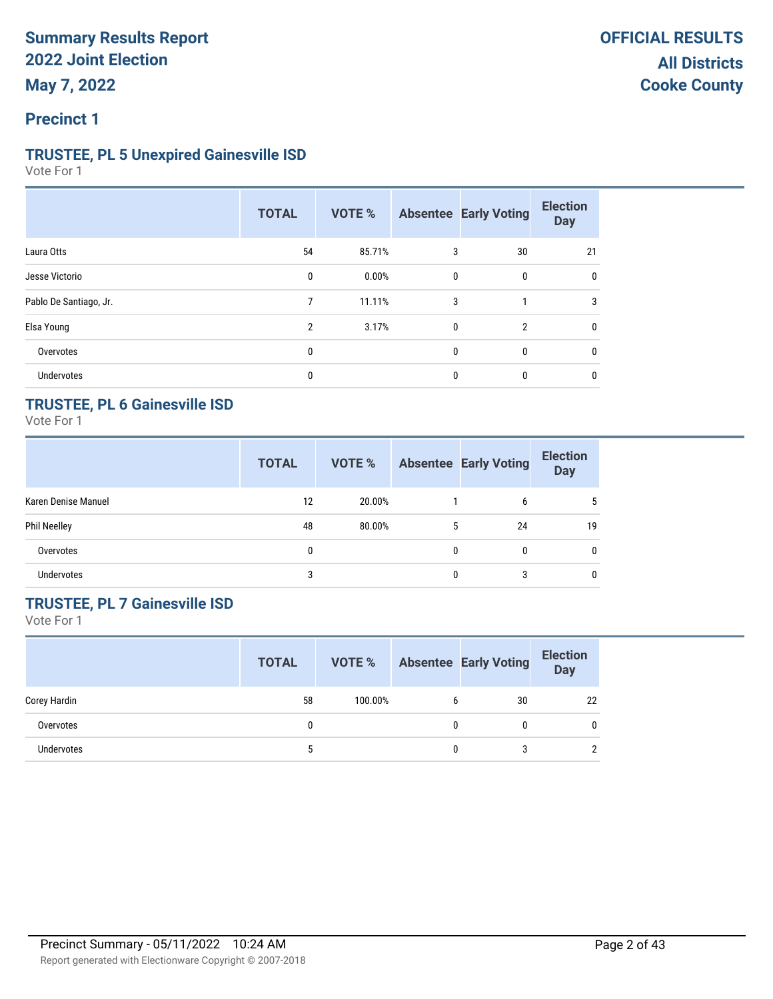### **TRUSTEE, PL 5 Unexpired Gainesville ISD**

Vote For 1

|                        | <b>TOTAL</b>   | VOTE % |   | <b>Absentee Early Voting</b> | <b>Election</b><br><b>Day</b> |
|------------------------|----------------|--------|---|------------------------------|-------------------------------|
| Laura Otts             | 54             | 85.71% | 3 | 30                           | 21                            |
| Jesse Victorio         | 0              | 0.00%  | 0 | 0                            | 0                             |
| Pablo De Santiago, Jr. | 7              | 11.11% | 3 |                              | 3                             |
| Elsa Young             | $\overline{2}$ | 3.17%  | 0 | $\overline{2}$               | $\mathbf{0}$                  |
| Overvotes              | 0              |        | 0 | 0                            | $\mathbf{0}$                  |
| <b>Undervotes</b>      | 0              |        | 0 | 0                            | 0                             |

## **TRUSTEE, PL 6 Gainesville ISD**

Vote For 1

|                     | <b>TOTAL</b> | VOTE %    |          | <b>Absentee Early Voting</b> | <b>Election</b><br><b>Day</b> |
|---------------------|--------------|-----------|----------|------------------------------|-------------------------------|
| Karen Denise Manuel | 12           | 20.00%    |          | 6                            | 5                             |
| <b>Phil Neelley</b> | 48           | $80.00\%$ | 5        | 24                           | 19                            |
| Overvotes           | 0            |           | $\Omega$ | 0                            | $\mathbf{0}$                  |
| <b>Undervotes</b>   | 3            |           |          | 3                            | $\mathbf{0}$                  |

## **TRUSTEE, PL 7 Gainesville ISD**

|              | <b>TOTAL</b> | VOTE %  |   | <b>Absentee Early Voting</b> | <b>Election</b><br><b>Day</b> |
|--------------|--------------|---------|---|------------------------------|-------------------------------|
| Corey Hardin | 58           | 100.00% | b | 30                           | 22                            |
| Overvotes    |              |         |   |                              | 0                             |
| Undervotes   |              |         | O |                              | C.                            |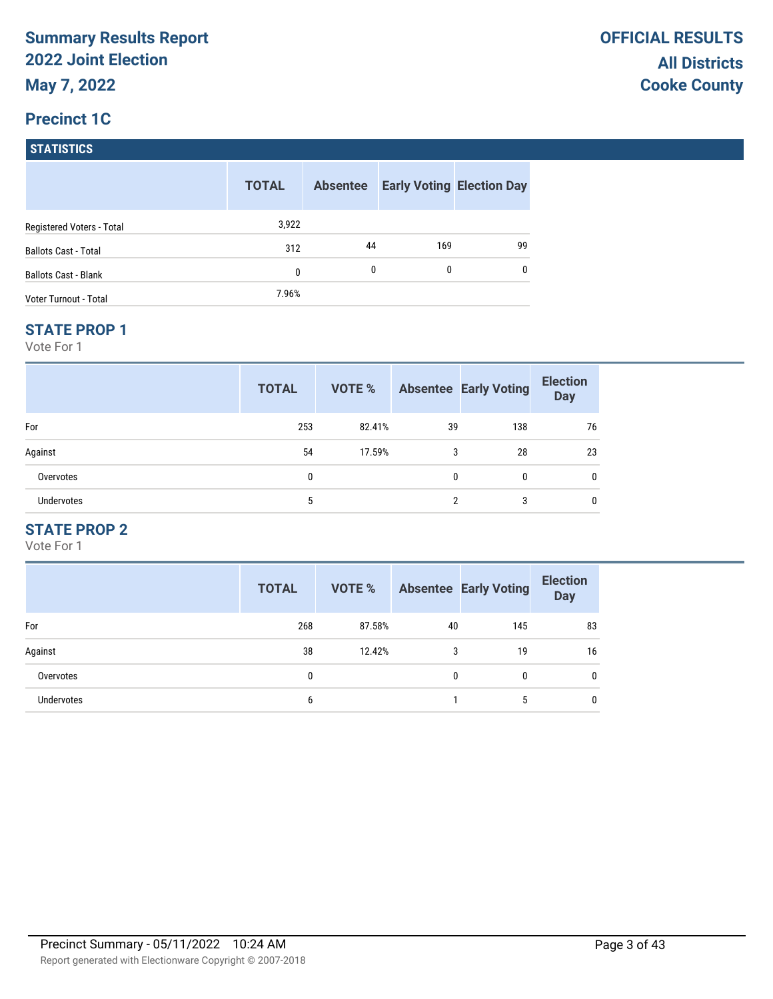### **Precinct 1C**

**STATISTICS**

|                              | <b>TOTAL</b> | <b>Absentee</b> |     | <b>Early Voting Election Day</b> |
|------------------------------|--------------|-----------------|-----|----------------------------------|
| Registered Voters - Total    | 3,922        |                 |     |                                  |
| <b>Ballots Cast - Total</b>  | 312          | 44              | 169 | 99                               |
| <b>Ballots Cast - Blank</b>  | 0            | 0               | 0   | 0                                |
| <b>Voter Turnout - Total</b> | 7.96%        |                 |     |                                  |

#### **STATE PROP 1**

Vote For 1

|                   | <b>TOTAL</b> | VOTE % |              | <b>Absentee Early Voting</b> | <b>Election</b><br><b>Day</b> |
|-------------------|--------------|--------|--------------|------------------------------|-------------------------------|
| For               | 253          | 82.41% | 39           | 138                          | 76                            |
| Against           | 54           | 17.59% | 3            | 28                           | 23                            |
| Overvotes         | 0            |        | $\mathbf{0}$ | 0                            | 0                             |
| <b>Undervotes</b> | 5            |        | ∩            | 3                            |                               |

## **STATE PROP 2**

|                   | <b>TOTAL</b> | <b>VOTE %</b> |    | <b>Absentee Early Voting</b> | <b>Election</b><br><b>Day</b> |
|-------------------|--------------|---------------|----|------------------------------|-------------------------------|
| For               | 268          | 87.58%        | 40 | 145                          | 83                            |
| Against           | 38           | 12.42%        | 3  | 19                           | 16                            |
| Overvotes         | 0            |               | 0  | 0                            | 0                             |
| <b>Undervotes</b> | 6            |               |    | 5                            | 0                             |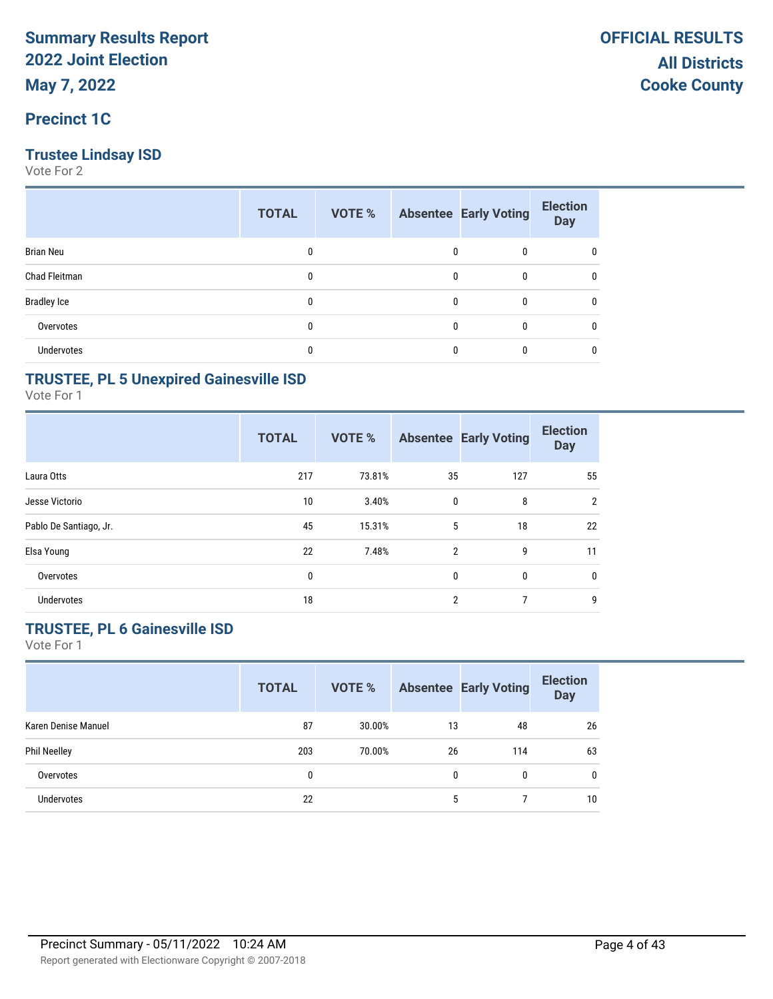### **Precinct 1C**

### **Trustee Lindsay ISD**

Vote For 2

|                    | <b>TOTAL</b> | VOTE % |   | <b>Absentee Early Voting</b> | <b>Election</b><br><b>Day</b> |
|--------------------|--------------|--------|---|------------------------------|-------------------------------|
| <b>Brian Neu</b>   | 0            |        | 0 | 0                            | 0                             |
| Chad Fleitman      | 0            |        | 0 | 0                            | 0                             |
| <b>Bradley Ice</b> | 0            |        | 0 | 0                            | 0                             |
| Overvotes          | 0            |        | 0 | 0                            | 0                             |
| Undervotes         |              |        |   | 0                            | 0                             |

### **TRUSTEE, PL 5 Unexpired Gainesville ISD**

Vote For 1

|                        | <b>TOTAL</b> | VOTE % |                | <b>Absentee Early Voting</b> | <b>Election</b><br><b>Day</b> |
|------------------------|--------------|--------|----------------|------------------------------|-------------------------------|
| Laura Otts             | 217          | 73.81% | 35             | 127                          | 55                            |
| Jesse Victorio         | 10           | 3.40%  | $\mathbf 0$    | 8                            | $\overline{2}$                |
| Pablo De Santiago, Jr. | 45           | 15.31% | 5              | 18                           | 22                            |
| Elsa Young             | 22           | 7.48%  | $\overline{2}$ | 9                            | 11                            |
| Overvotes              | 0            |        | $\mathbf{0}$   | 0                            | 0                             |
| <b>Undervotes</b>      | 18           |        | $\overline{2}$ | 7                            | 9                             |

## **TRUSTEE, PL 6 Gainesville ISD**

|                     | <b>TOTAL</b> | <b>VOTE %</b> |    | <b>Absentee Early Voting</b> | <b>Election</b><br><b>Day</b> |
|---------------------|--------------|---------------|----|------------------------------|-------------------------------|
| Karen Denise Manuel | 87           | 30.00%        | 13 | 48                           | 26                            |
| <b>Phil Neelley</b> | 203          | 70.00%        | 26 | 114                          | 63                            |
| Overvotes           | 0            |               | 0  | 0                            | $\mathbf{0}$                  |
| <b>Undervotes</b>   | 22           |               | 5  |                              | 10                            |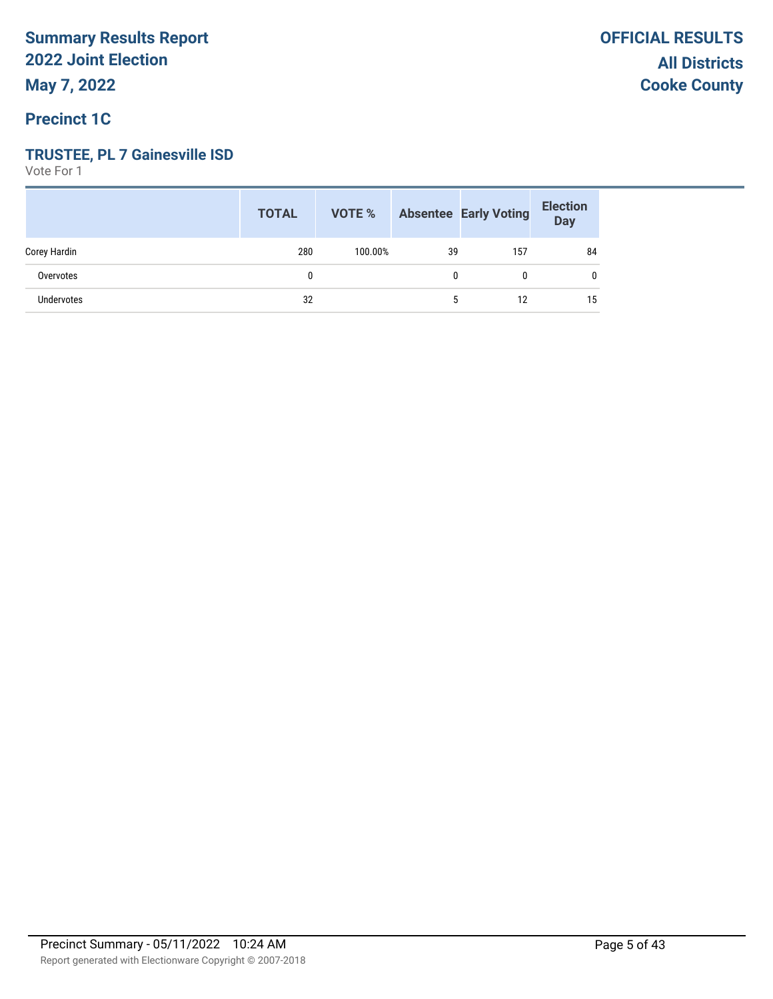### **TRUSTEE, PL 7 Gainesville ISD**

|                   | <b>TOTAL</b> |         |    | <b>VOTE %</b> Absentee Early Voting | <b>Election</b><br>Day |
|-------------------|--------------|---------|----|-------------------------------------|------------------------|
| Corey Hardin      | 280          | 100.00% | 39 | 157                                 | 84                     |
| Overvotes         |              |         | 0  | 0                                   |                        |
| <b>Undervotes</b> | 32           |         | 5  | 12                                  | 15                     |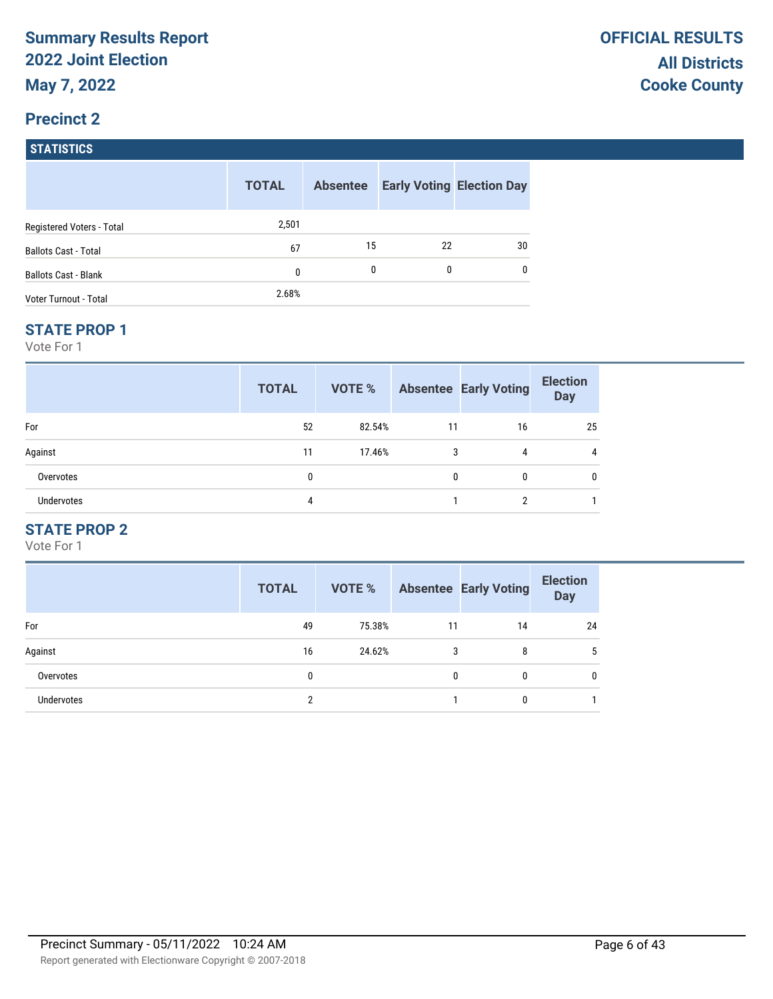# **Precinct 2 STATISTICS**

|                             | <b>TOTAL</b> | <b>Absentee</b> |    | <b>Early Voting Election Day</b> |
|-----------------------------|--------------|-----------------|----|----------------------------------|
| Registered Voters - Total   | 2,501        |                 |    |                                  |
| <b>Ballots Cast - Total</b> | 67           | 15              | 22 | 30                               |
| <b>Ballots Cast - Blank</b> | 0            | 0               | 0  | 0                                |
| Voter Turnout - Total       | 2.68%        |                 |    |                                  |

#### **STATE PROP 1**

Vote For 1

|            | <b>TOTAL</b> | VOTE % |    | <b>Absentee Early Voting</b> | <b>Election</b><br><b>Day</b> |
|------------|--------------|--------|----|------------------------------|-------------------------------|
| For        | 52           | 82.54% | 11 | 16                           | 25                            |
| Against    | 11           | 17.46% | 3  | 4                            |                               |
| Overvotes  | 0            |        | 0  | 0                            |                               |
| Undervotes | 4            |        |    | າ                            |                               |

## **STATE PROP 2**

|                   | <b>TOTAL</b> | VOTE % |    | <b>Absentee Early Voting</b> | <b>Election</b><br><b>Day</b> |
|-------------------|--------------|--------|----|------------------------------|-------------------------------|
| For               | 49           | 75.38% | 11 | 14                           | 24                            |
| Against           | 16           | 24.62% | 3  | 8                            |                               |
| Overvotes         | 0            |        | 0  | 0                            | 0                             |
| <b>Undervotes</b> | 2            |        |    | 0                            |                               |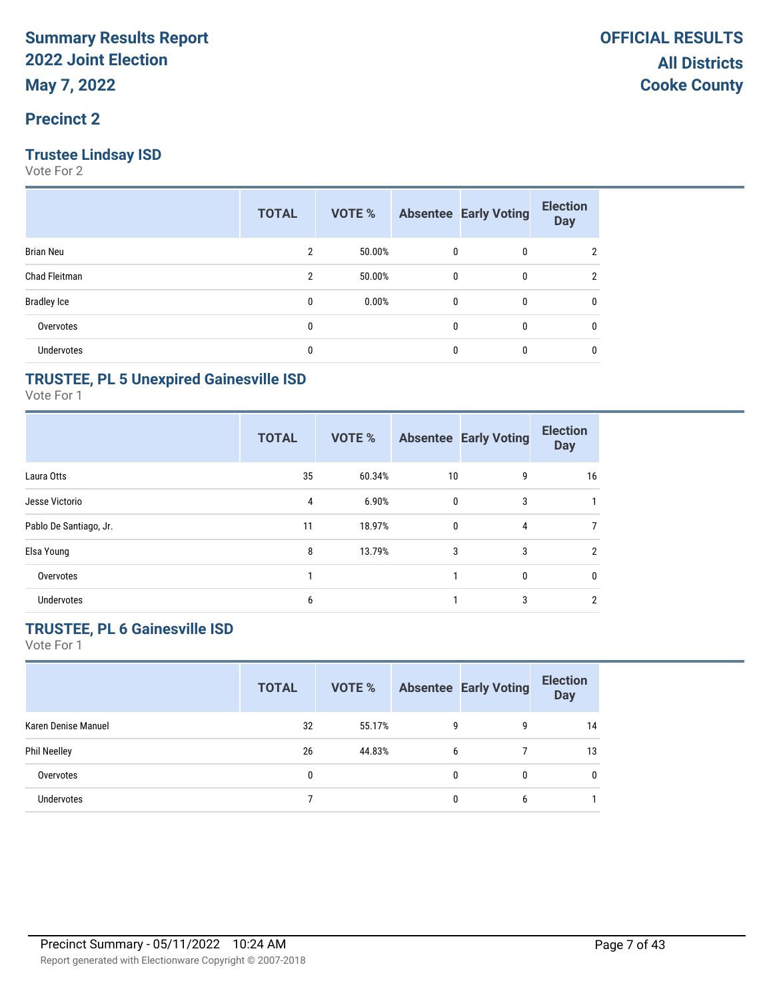### **Trustee Lindsay ISD**

Vote For 2

|                    | <b>TOTAL</b> | VOTE % |              | <b>Absentee Early Voting</b> | <b>Election</b><br><b>Day</b> |
|--------------------|--------------|--------|--------------|------------------------------|-------------------------------|
| <b>Brian Neu</b>   | 2            | 50.00% | 0            | 0                            | າ                             |
| Chad Fleitman      | 2            | 50.00% | 0            | 0                            | 2                             |
| <b>Bradley Ice</b> | 0            | 0.00%  | 0            | 0                            | 0                             |
| Overvotes          | 0            |        | $\mathbf{0}$ | $\mathbf{0}$                 | 0                             |
| Undervotes         | 0            |        | 0            | $\mathbf{0}$                 | 0                             |

### **TRUSTEE, PL 5 Unexpired Gainesville ISD**

Vote For 1

|                        | <b>TOTAL</b> | VOTE % |              | <b>Absentee Early Voting</b> | <b>Election</b><br><b>Day</b> |
|------------------------|--------------|--------|--------------|------------------------------|-------------------------------|
| Laura Otts             | 35           | 60.34% | 10           | 9                            | 16                            |
| Jesse Victorio         | 4            | 6.90%  | $\mathbf{0}$ | 3                            |                               |
| Pablo De Santiago, Jr. | 11           | 18.97% | $\mathbf{0}$ | 4                            |                               |
| Elsa Young             | 8            | 13.79% | 3            | 3                            | 2                             |
| Overvotes              |              |        |              | $\mathbf{0}$                 | $\mathbf{0}$                  |
| <b>Undervotes</b>      | 6            |        |              | 3                            | 2                             |

## **TRUSTEE, PL 6 Gainesville ISD**

|                     | <b>TOTAL</b> | VOTE % |   | <b>Absentee Early Voting</b> | <b>Election</b><br><b>Day</b> |
|---------------------|--------------|--------|---|------------------------------|-------------------------------|
| Karen Denise Manuel | 32           | 55.17% | g | g                            | 14                            |
| <b>Phil Neelley</b> | 26           | 44.83% | 6 |                              | 13                            |
| Overvotes           | 0            |        |   | 0                            | $\mathbf{0}$                  |
| <b>Undervotes</b>   |              |        |   | b                            |                               |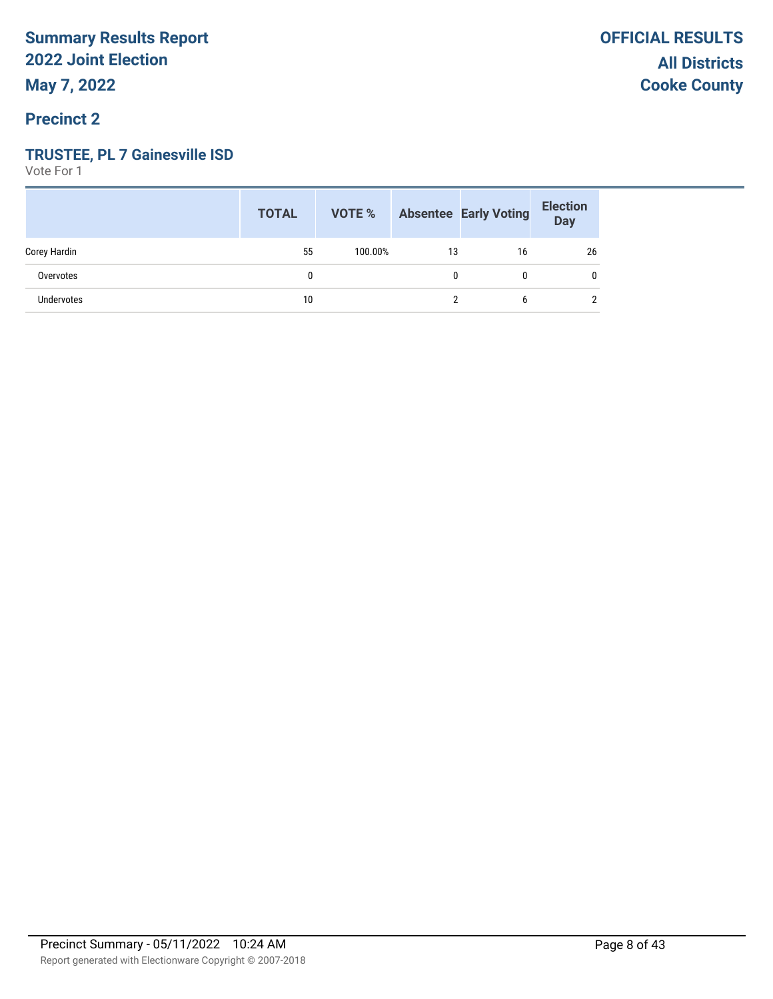### **TRUSTEE, PL 7 Gainesville ISD**

|              | <b>TOTAL</b> |         |    | <b>VOTE %</b> Absentee Early Voting | <b>Election</b><br>Day |
|--------------|--------------|---------|----|-------------------------------------|------------------------|
| Corey Hardin | 55           | 100.00% | 13 | 16                                  | 26                     |
| Overvotes    | U            |         |    | 0                                   | 0                      |
| Undervotes   | 10           |         |    | 6                                   | 2                      |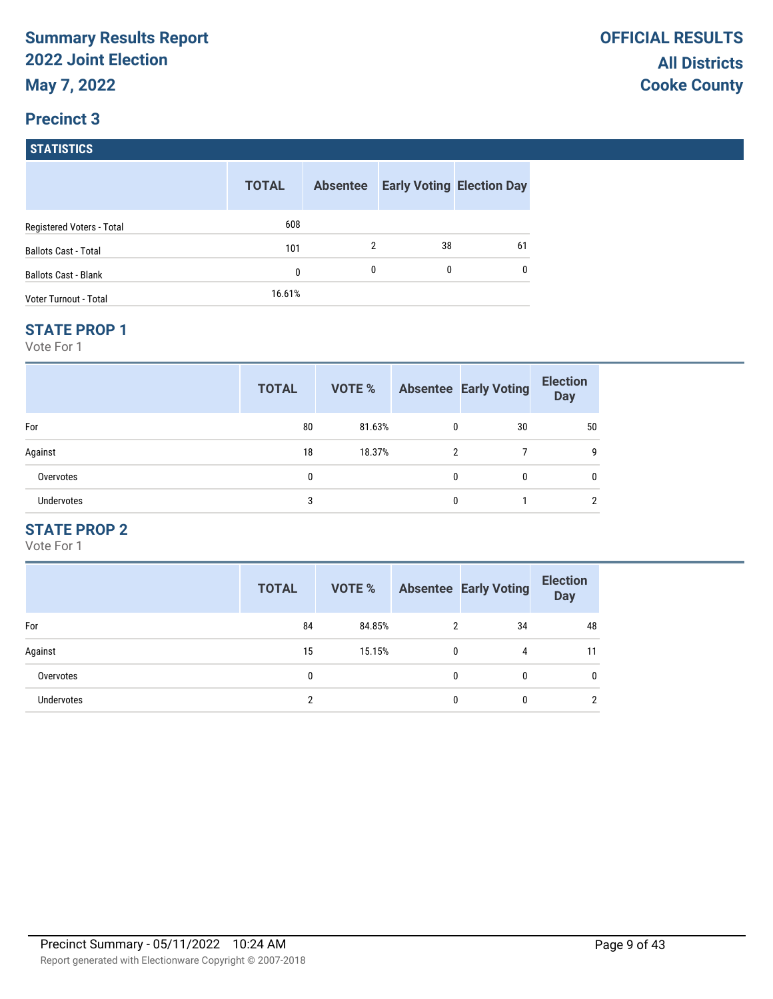## **Precinct 3 STATISTICS**

|                             | <b>TOTAL</b> | <b>Absentee</b> |    | <b>Early Voting Election Day</b> |
|-----------------------------|--------------|-----------------|----|----------------------------------|
| Registered Voters - Total   | 608          |                 |    |                                  |
| <b>Ballots Cast - Total</b> | 101          | 2               | 38 | 61                               |
| <b>Ballots Cast - Blank</b> | 0            | $\mathbf{0}$    | 0  | 0                                |
| Voter Turnout - Total       | 16.61%       |                 |    |                                  |

#### **STATE PROP 1**

Vote For 1

|            | <b>TOTAL</b> | VOTE % |   | <b>Absentee Early Voting</b> | <b>Election</b><br><b>Day</b> |
|------------|--------------|--------|---|------------------------------|-------------------------------|
| For        | 80           | 81.63% | 0 | 30                           | 50                            |
| Against    | 18           | 18.37% | 2 |                              | g                             |
| Overvotes  | 0            |        | 0 | 0                            | 0                             |
| Undervotes | 3            |        | U |                              | ∩                             |

## **STATE PROP 2**

|                   | <b>TOTAL</b> | <b>VOTE %</b> |   | <b>Absentee Early Voting</b> | <b>Election</b><br><b>Day</b> |
|-------------------|--------------|---------------|---|------------------------------|-------------------------------|
| For               | 84           | 84.85%        | 2 | 34                           | 48                            |
| Against           | 15           | 15.15%        | 0 | 4                            | 11                            |
| Overvotes         | 0            |               | 0 | 0                            | 0                             |
| <b>Undervotes</b> | 2            |               | 0 | 0                            | $\overline{2}$                |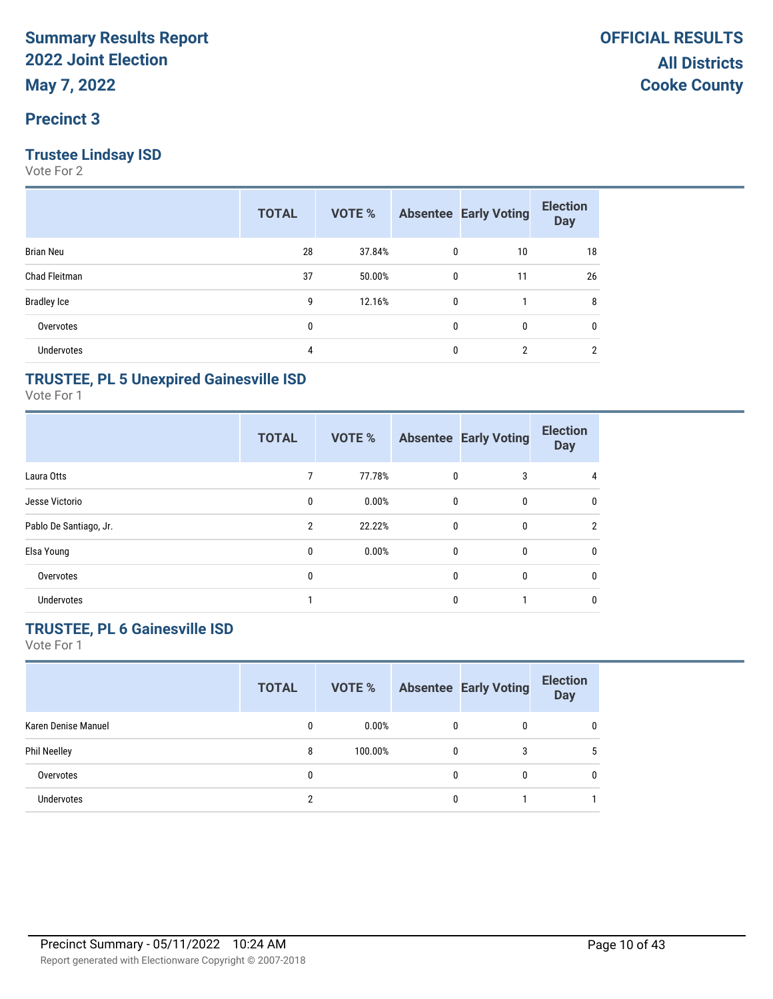### **Trustee Lindsay ISD**

Vote For 2

|                    | <b>TOTAL</b> | VOTE % |              | <b>Absentee Early Voting</b> | <b>Election</b><br><b>Day</b> |
|--------------------|--------------|--------|--------------|------------------------------|-------------------------------|
| <b>Brian Neu</b>   | 28           | 37.84% | 0            | 10                           | 18                            |
| Chad Fleitman      | 37           | 50.00% | 0            | 11                           | 26                            |
| <b>Bradley Ice</b> | 9            | 12.16% | $\mathbf 0$  |                              | 8                             |
| Overvotes          | $\mathbf{0}$ |        | $\mathbf{0}$ | 0                            | $\mathbf{0}$                  |
| <b>Undervotes</b>  | 4            |        | 0            | 2                            | $\overline{2}$                |

### **TRUSTEE, PL 5 Unexpired Gainesville ISD**

Vote For 1

|                        | <b>TOTAL</b>   | VOTE % |              | <b>Absentee Early Voting</b> | <b>Election</b><br><b>Day</b> |
|------------------------|----------------|--------|--------------|------------------------------|-------------------------------|
| Laura Otts             |                | 77.78% | $\mathbf{0}$ | 3                            | $\overline{4}$                |
| Jesse Victorio         | 0              | 0.00%  | $\mathbf{0}$ | 0                            | 0                             |
| Pablo De Santiago, Jr. | $\overline{2}$ | 22.22% | $\mathbf{0}$ | $\mathbf{0}$                 | 2                             |
| Elsa Young             | 0              | 0.00%  | $\mathbf{0}$ | $\mathbf{0}$                 | $\mathbf{0}$                  |
| Overvotes              | 0              |        | $\mathbf{0}$ | $\mathbf{0}$                 | $\mathbf{0}$                  |
| <b>Undervotes</b>      |                |        | $\Omega$     |                              | $\mathbf{0}$                  |

## **TRUSTEE, PL 6 Gainesville ISD**

|                     | <b>TOTAL</b> | VOTE %   |              | <b>Absentee Early Voting</b> | <b>Election</b><br><b>Day</b> |
|---------------------|--------------|----------|--------------|------------------------------|-------------------------------|
| Karen Denise Manuel | 0            | $0.00\%$ | $\mathbf{0}$ | 0                            |                               |
| Phil Neelley        | 8            | 100.00%  | $\mathbf{0}$ | 3                            | 5                             |
| Overvotes           |              |          | 0            | 0                            | 0                             |
| <b>Undervotes</b>   |              |          |              |                              |                               |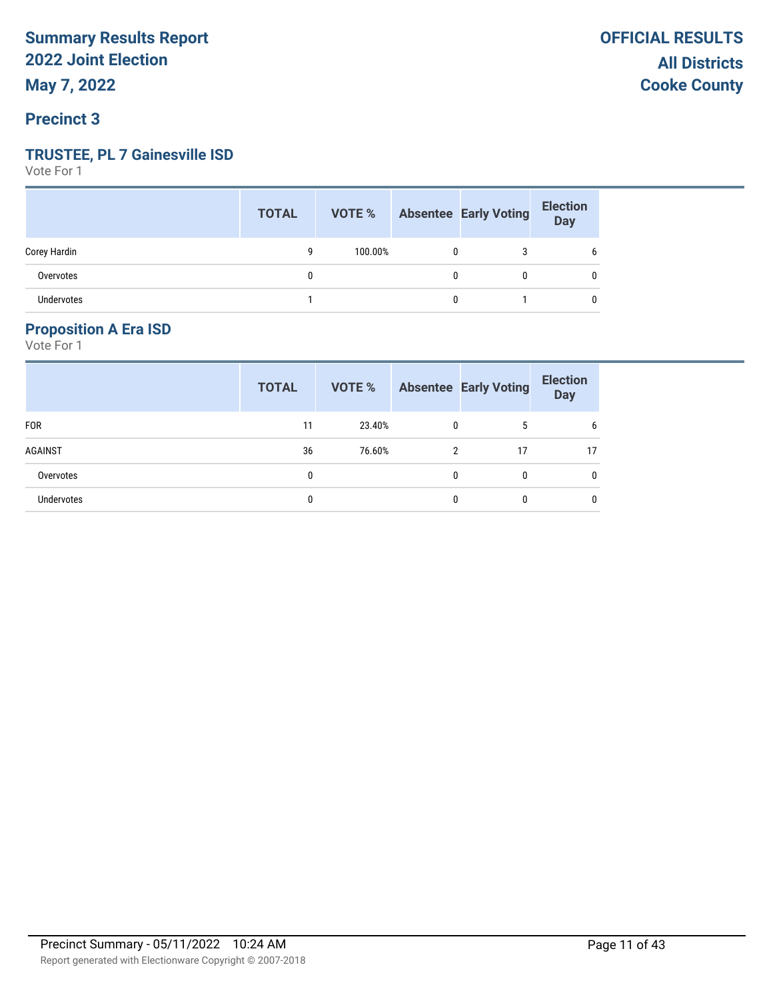#### **Precinct 3**

#### **TRUSTEE, PL 7 Gainesville ISD**

Vote For 1

|                   | <b>TOTAL</b> |         |   | <b>VOTE %</b> Absentee Early Voting | Election |
|-------------------|--------------|---------|---|-------------------------------------|----------|
| Corey Hardin      | q            | 100.00% | 0 |                                     | b        |
| Overvotes         | 0            |         | 0 |                                     | 0        |
| <b>Undervotes</b> |              |         | 0 |                                     | 0        |

#### **Proposition A Era ISD**

|            | <b>TOTAL</b> | VOTE % |                | <b>Absentee Early Voting</b> | <b>Election</b><br><b>Day</b> |
|------------|--------------|--------|----------------|------------------------------|-------------------------------|
| <b>FOR</b> | 11           | 23.40% | 0              | 5                            | b                             |
| AGAINST    | 36           | 76.60% | $\mathfrak{p}$ | 17                           | 17                            |
| Overvotes  | 0            |        | $\mathbf{0}$   | 0                            | 0                             |
| Undervotes | 0            |        | 0              | 0                            | 0                             |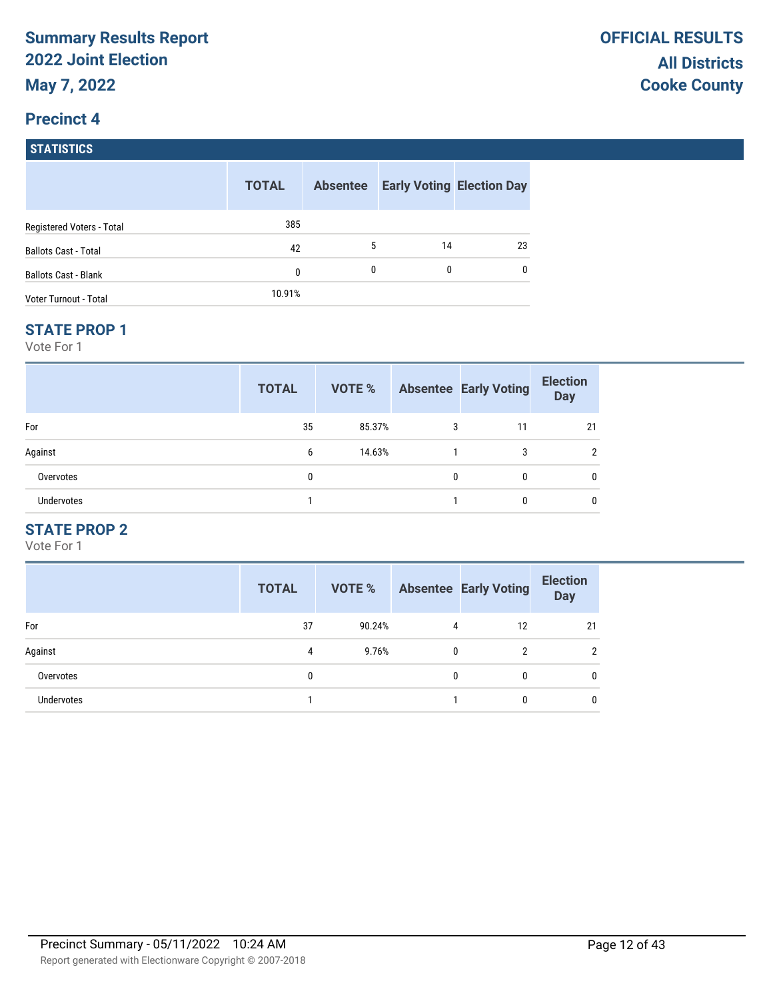## **Precinct 4 STATISTICS**

|                             | <b>TOTAL</b> | <b>Absentee</b> |    | <b>Early Voting Election Day</b> |
|-----------------------------|--------------|-----------------|----|----------------------------------|
| Registered Voters - Total   | 385          |                 |    |                                  |
| <b>Ballots Cast - Total</b> | 42           | 5               | 14 | 23                               |
| <b>Ballots Cast - Blank</b> | 0            | 0               | 0  | 0                                |
| Voter Turnout - Total       | 10.91%       |                 |    |                                  |

#### **STATE PROP 1**

Vote For 1

|                   | <b>TOTAL</b> | VOTE % |   | <b>Absentee Early Voting</b> | <b>Election</b><br><b>Day</b> |
|-------------------|--------------|--------|---|------------------------------|-------------------------------|
| For               | 35           | 85.37% | 3 | 11                           | 21                            |
| Against           | 6            | 14.63% |   | 3                            | ົ                             |
| Overvotes         | 0            |        | 0 | 0                            |                               |
| <b>Undervotes</b> |              |        |   | 0                            |                               |

## **STATE PROP 2**

|                   | <b>TOTAL</b> | VOTE % |   | <b>Absentee Early Voting</b> | <b>Election</b><br><b>Day</b> |
|-------------------|--------------|--------|---|------------------------------|-------------------------------|
| For               | 37           | 90.24% | 4 | 12                           | 21                            |
| Against           | 4            | 9.76%  | 0 | 2                            | $\overline{2}$                |
| Overvotes         | 0            |        | 0 | 0                            | 0                             |
| <b>Undervotes</b> |              |        |   | 0                            |                               |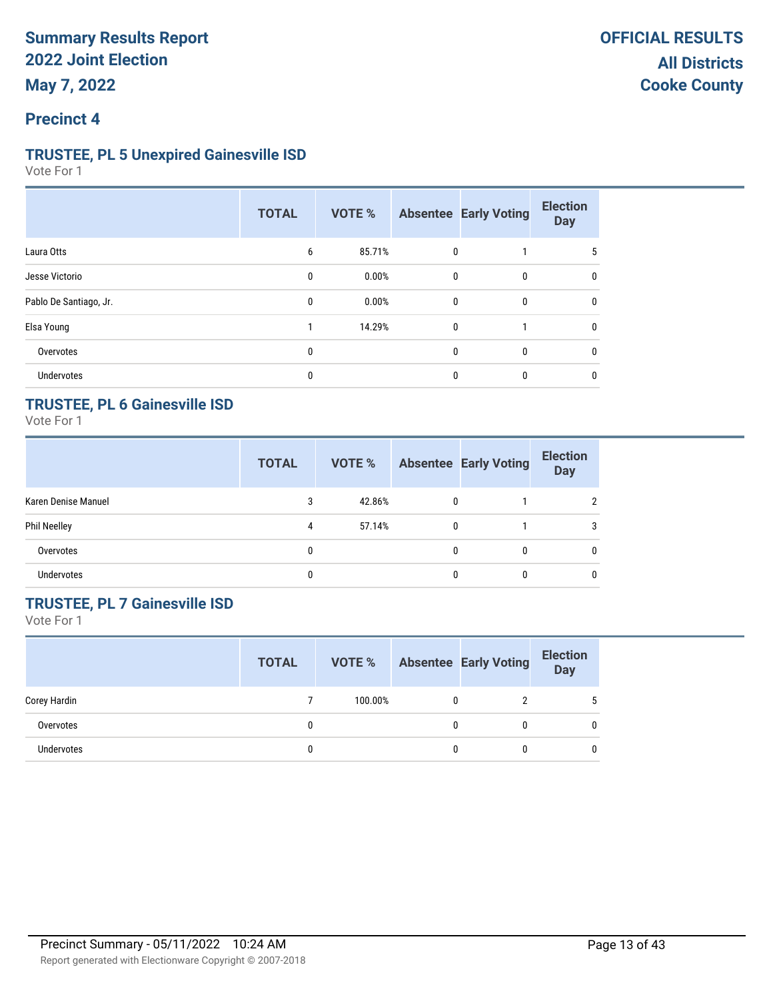### **Precinct 4**

#### **TRUSTEE, PL 5 Unexpired Gainesville ISD**

Vote For 1

|                        | <b>TOTAL</b> | VOTE % |              | <b>Absentee Early Voting</b> | <b>Election</b><br><b>Day</b> |
|------------------------|--------------|--------|--------------|------------------------------|-------------------------------|
| Laura Otts             | 6            | 85.71% | $\mathbf 0$  |                              | 5                             |
| Jesse Victorio         | 0            | 0.00%  | 0            | 0                            | 0                             |
| Pablo De Santiago, Jr. | 0            | 0.00%  | 0            | 0                            | $\mathbf{0}$                  |
| Elsa Young             |              | 14.29% | $\mathbf{0}$ |                              | $\mathbf{0}$                  |
| Overvotes              | 0            |        | 0            | 0                            | 0                             |
| Undervotes             | 0            |        | $\mathbf{0}$ | $\mathbf{0}$                 | 0                             |

## **TRUSTEE, PL 6 Gainesville ISD**

Vote For 1

|                     | <b>TOTAL</b> | VOTE % |              | <b>Absentee Early Voting</b> | <b>Election</b><br><b>Day</b> |
|---------------------|--------------|--------|--------------|------------------------------|-------------------------------|
| Karen Denise Manuel | 3            | 42.86% | $\mathbf{0}$ |                              |                               |
| <b>Phil Neelley</b> | 4            | 57.14% | $\mathbf{0}$ |                              | 3                             |
| Overvotes           | 0            |        |              | $\mathbf{0}$                 | $\mathbf{0}$                  |
| <b>Undervotes</b>   | 0            |        |              | 0                            | $\mathbf{0}$                  |

## **TRUSTEE, PL 7 Gainesville ISD**

|                   | <b>TOTAL</b> | VOTE %  |   | <b>Absentee Early Voting</b> | <b>Election</b><br><b>Day</b> |
|-------------------|--------------|---------|---|------------------------------|-------------------------------|
| Corey Hardin      |              | 100.00% |   |                              | 5                             |
| Overvotes         |              |         | 0 |                              | 0                             |
| <b>Undervotes</b> |              |         | 0 |                              | $\Omega$                      |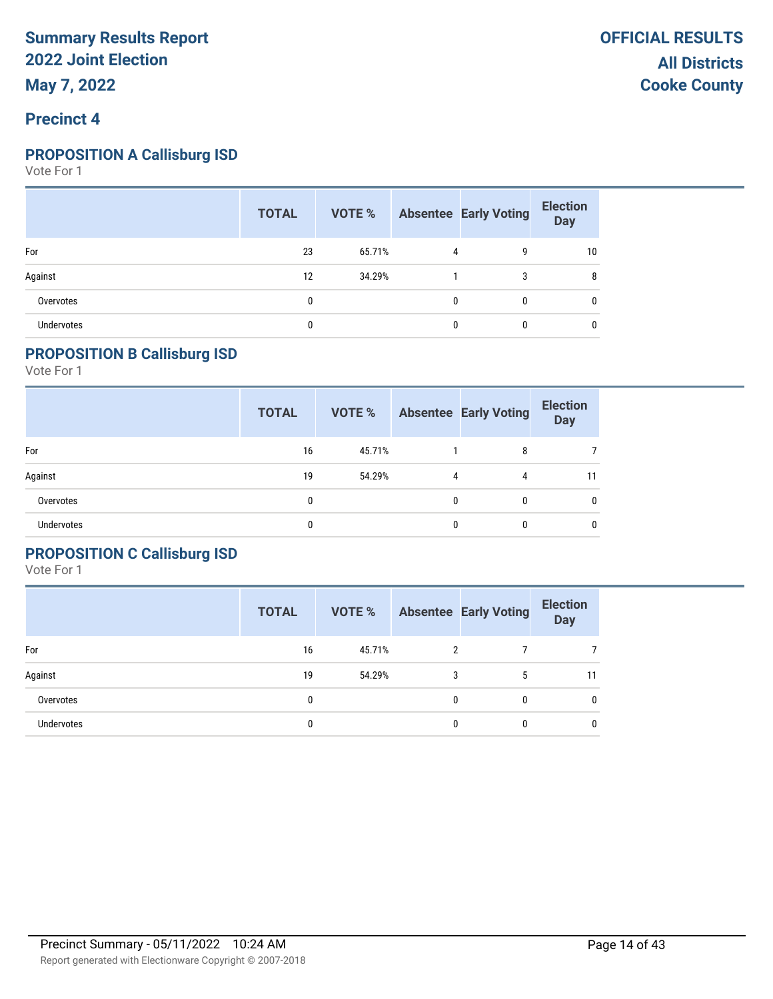### **Precinct 4**

#### **PROPOSITION A Callisburg ISD**

Vote For 1

|            | <b>TOTAL</b> |        |              | <b>VOTE %</b> Absentee Early Voting | <b>Election</b><br><b>Day</b> |
|------------|--------------|--------|--------------|-------------------------------------|-------------------------------|
| For        | 23           | 65.71% | 4            | 9                                   | 10                            |
| Against    | 12           | 34.29% |              | 3                                   | 8                             |
| Overvotes  | 0            |        | $\mathbf{0}$ | $\mathbf{0}$                        | 0                             |
| Undervotes | 0            |        | $\Omega$     | $\mathbf{0}$                        | 0                             |

#### **PROPOSITION B Callisburg ISD**

Vote For 1

|                   | <b>TOTAL</b> | VOTE % |   | <b>Absentee Early Voting</b> | <b>Election</b><br><b>Day</b> |
|-------------------|--------------|--------|---|------------------------------|-------------------------------|
| For               | 16           | 45.71% |   | 8                            |                               |
| Against           | 19           | 54.29% | 4 | 4                            | 11                            |
| Overvotes         | 0            |        | 0 | 0                            | 0                             |
| <b>Undervotes</b> | 0            |        | 0 |                              | 0                             |

### **PROPOSITION C Callisburg ISD**

|                   | <b>TOTAL</b> | VOTE % |   | <b>Absentee Early Voting</b> | <b>Election</b><br><b>Day</b> |
|-------------------|--------------|--------|---|------------------------------|-------------------------------|
| For               | 16           | 45.71% | 2 |                              |                               |
| Against           | 19           | 54.29% | 3 | 5                            | 11                            |
| Overvotes         | 0            |        | 0 | 0                            | $\mathbf{0}$                  |
| <b>Undervotes</b> | 0            |        | 0 | 0                            | 0                             |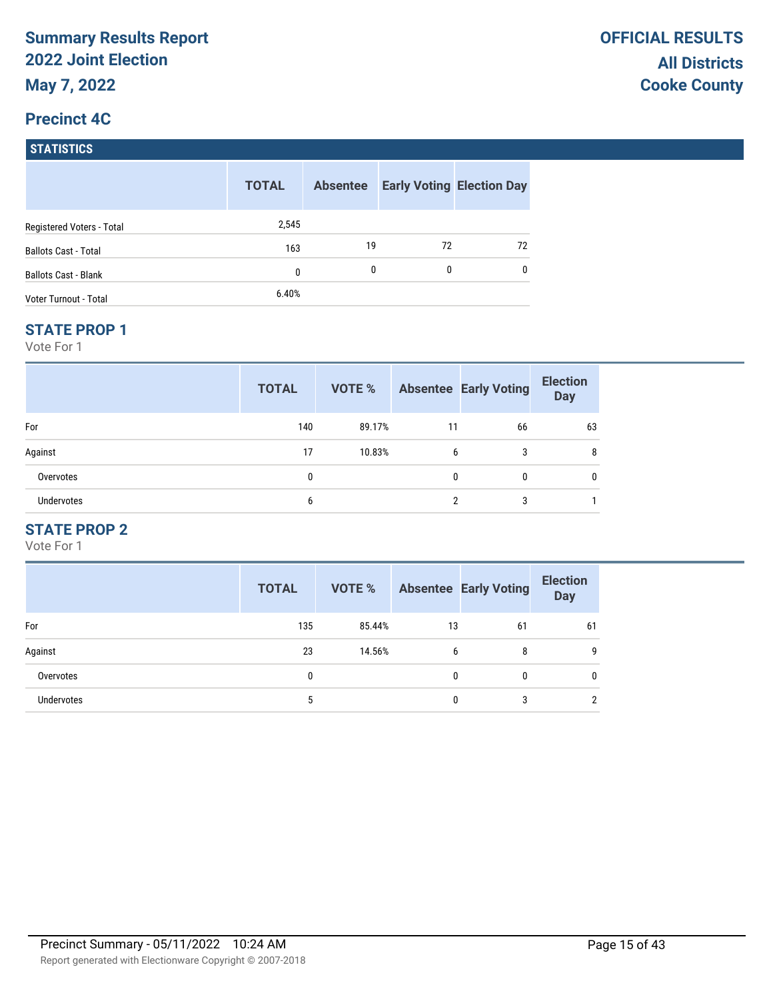#### **Precinct 4C**

| <b>STATISTICS</b>           |              |                 |    |                                  |
|-----------------------------|--------------|-----------------|----|----------------------------------|
|                             | <b>TOTAL</b> | <b>Absentee</b> |    | <b>Early Voting Election Day</b> |
| Registered Voters - Total   | 2,545        |                 |    |                                  |
| <b>Ballots Cast - Total</b> | 163          | 19              | 72 | 72                               |
| <b>Ballots Cast - Blank</b> | 0            | 0               | 0  | 0                                |
| Voter Turnout - Total       | 6.40%        |                 |    |                                  |

#### **STATE PROP 1**

Vote For 1

|                   | <b>TOTAL</b> | VOTE % |              | <b>Absentee Early Voting</b> | <b>Election</b><br><b>Day</b> |
|-------------------|--------------|--------|--------------|------------------------------|-------------------------------|
| For               | 140          | 89.17% | 11           | 66                           | 63                            |
| Against           | 17           | 10.83% | 6            | 3                            | 8                             |
| Overvotes         | 0            |        | $\mathbf{0}$ | 0                            |                               |
| <b>Undervotes</b> | 6            |        | ∩            | 3                            |                               |

## **STATE PROP 2**

|                   | <b>TOTAL</b> | VOTE % |    | <b>Absentee Early Voting</b> | <b>Election</b><br><b>Day</b> |
|-------------------|--------------|--------|----|------------------------------|-------------------------------|
| For               | 135          | 85.44% | 13 | 61                           | 61                            |
| Against           | 23           | 14.56% | 6  | 8                            | 9                             |
| Overvotes         | 0            |        | 0  | 0                            | 0                             |
| <b>Undervotes</b> | 5            |        | 0  | 3                            | 2                             |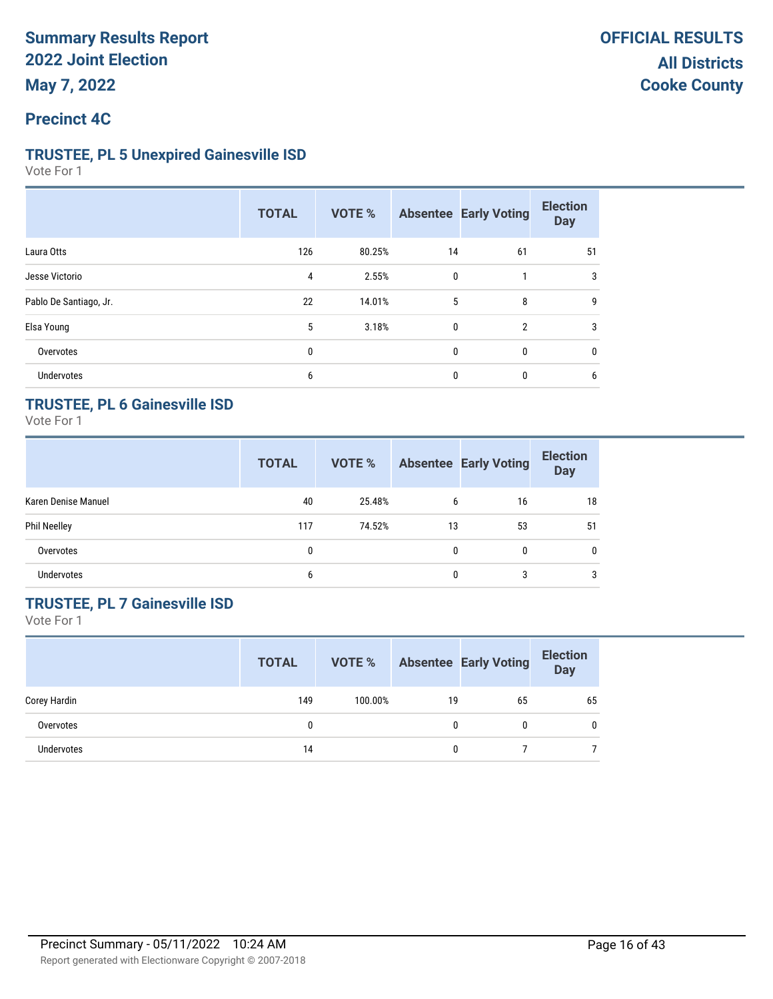#### **Precinct 4C**

#### **TRUSTEE, PL 5 Unexpired Gainesville ISD**

Vote For 1

|                        | <b>TOTAL</b> | VOTE % |              | <b>Absentee Early Voting</b> | <b>Election</b><br><b>Day</b> |
|------------------------|--------------|--------|--------------|------------------------------|-------------------------------|
| Laura Otts             | 126          | 80.25% | 14           | 61                           | 51                            |
| Jesse Victorio         | 4            | 2.55%  | $\mathbf 0$  |                              | 3                             |
| Pablo De Santiago, Jr. | 22           | 14.01% | 5            | 8                            | 9                             |
| Elsa Young             | 5            | 3.18%  | $\mathbf 0$  | $\overline{2}$               | 3                             |
| Overvotes              | 0            |        | $\mathbf{0}$ | 0                            | 0                             |
| Undervotes             | 6            |        | $\mathbf{0}$ | $\mathbf{0}$                 | 6                             |

### **TRUSTEE, PL 6 Gainesville ISD**

Vote For 1

|                     | <b>TOTAL</b> | VOTE % |              | <b>Absentee Early Voting</b> | <b>Election</b><br><b>Day</b> |
|---------------------|--------------|--------|--------------|------------------------------|-------------------------------|
| Karen Denise Manuel | 40           | 25.48% | 6            | 16                           | 18                            |
| <b>Phil Neelley</b> | 117          | 74.52% | 13           | 53                           | 51                            |
| Overvotes           | 0            |        | $\mathbf{0}$ | $\mathbf{0}$                 | $\mathbf{0}$                  |
| <b>Undervotes</b>   | 6            |        | 0            | 3                            | 3                             |

## **TRUSTEE, PL 7 Gainesville ISD**

|                   | <b>TOTAL</b> | VOTE %  |    | <b>Absentee Early Voting</b> | <b>Election</b><br><b>Day</b> |
|-------------------|--------------|---------|----|------------------------------|-------------------------------|
| Corey Hardin      | 149          | 100.00% | 19 | 65                           | 65                            |
| Overvotes         | 0            |         | 0  |                              | $\Omega$                      |
| <b>Undervotes</b> | 14           |         | 0  |                              |                               |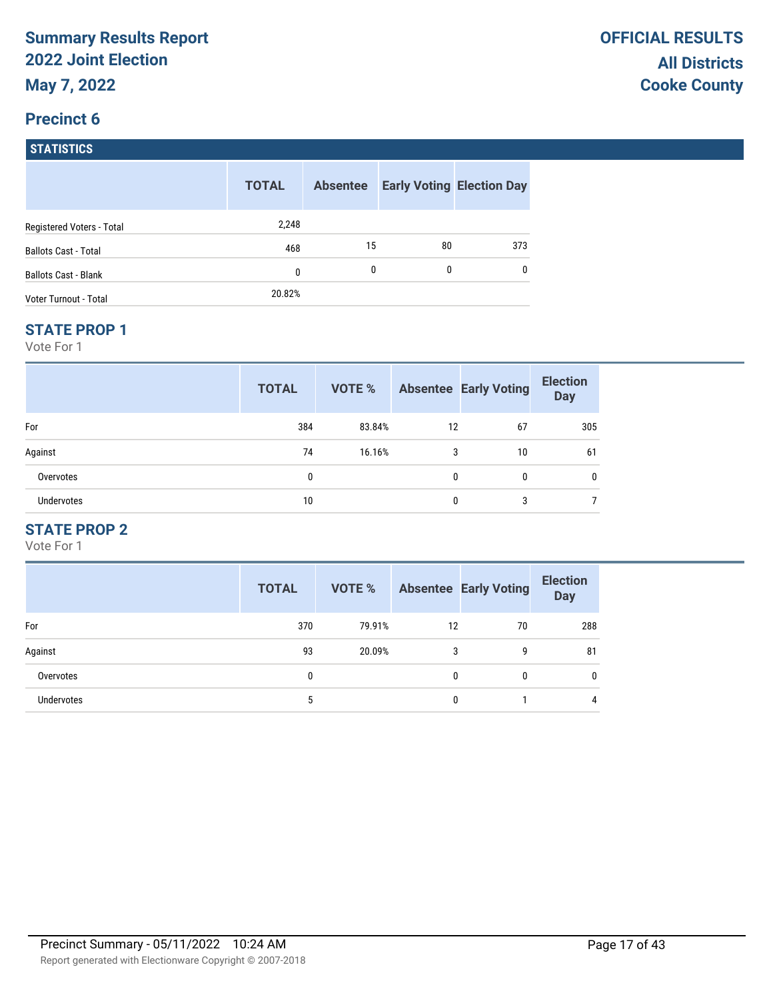## **Precinct 6 STATISTICS**

|                              | <b>TOTAL</b> | <b>Absentee</b> |          | <b>Early Voting Election Day</b> |
|------------------------------|--------------|-----------------|----------|----------------------------------|
| Registered Voters - Total    | 2,248        |                 |          |                                  |
| <b>Ballots Cast - Total</b>  | 468          | 15              | 80       | 373                              |
| <b>Ballots Cast - Blank</b>  | 0            | 0               | $\Omega$ | 0                                |
| <b>Voter Turnout - Total</b> | 20.82%       |                 |          |                                  |

#### **STATE PROP 1**

Vote For 1

|            | <b>TOTAL</b> | VOTE % |              | <b>Absentee Early Voting</b> | <b>Election</b><br><b>Day</b> |
|------------|--------------|--------|--------------|------------------------------|-------------------------------|
| For        | 384          | 83.84% | 12           | 67                           | 305                           |
| Against    | 74           | 16.16% | 3            | 10                           | 61                            |
| Overvotes  | 0            |        | $\mathbf{0}$ | 0                            | 0                             |
| Undervotes | 10           |        | $\mathbf{0}$ | 3                            |                               |

## **STATE PROP 2**

|                   | <b>TOTAL</b> | <b>VOTE %</b> |    | <b>Absentee Early Voting</b> | <b>Election</b><br><b>Day</b> |
|-------------------|--------------|---------------|----|------------------------------|-------------------------------|
| For               | 370          | 79.91%        | 12 | 70                           | 288                           |
| Against           | 93           | 20.09%        | 3  | 9                            | 81                            |
| Overvotes         | 0            |               | 0  | 0                            | 0                             |
| <b>Undervotes</b> | 5            |               | 0  |                              | 4                             |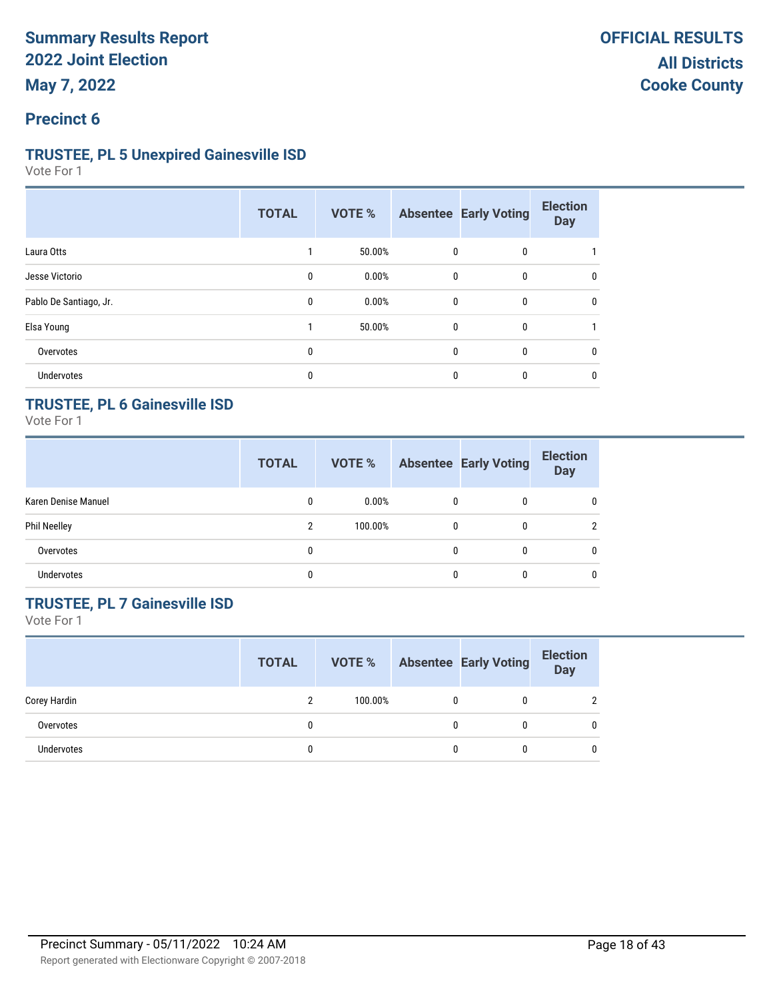### **Precinct 6**

#### **TRUSTEE, PL 5 Unexpired Gainesville ISD**

Vote For 1

|                        | <b>TOTAL</b> | VOTE % |              | <b>Absentee Early Voting</b> | <b>Election</b><br><b>Day</b> |
|------------------------|--------------|--------|--------------|------------------------------|-------------------------------|
| Laura Otts             |              | 50.00% | 0            | 0                            |                               |
| Jesse Victorio         | 0            | 0.00%  | $\mathbf{0}$ | 0                            | 0                             |
| Pablo De Santiago, Jr. | 0            | 0.00%  | $\mathbf{0}$ | 0                            | 0                             |
| Elsa Young             |              | 50.00% | $\mathbf{0}$ | 0                            |                               |
| Overvotes              | 0            |        | $\mathbf{0}$ | 0                            | 0                             |
| <b>Undervotes</b>      | 0            |        | 0            | 0                            | 0                             |

## **TRUSTEE, PL 6 Gainesville ISD**

Vote For 1

|                     | <b>TOTAL</b> | VOTE %   |              | <b>Absentee Early Voting</b> | <b>Election</b><br><b>Day</b> |
|---------------------|--------------|----------|--------------|------------------------------|-------------------------------|
| Karen Denise Manuel | 0            | $0.00\%$ |              | 0                            | $\mathbf{0}$                  |
| <b>Phil Neelley</b> | 2            | 100.00%  | $\mathbf{0}$ | $\mathbf{0}$                 |                               |
| Overvotes           | 0            |          |              | $\mathbf{0}$                 | $\mathbf{0}$                  |
| <b>Undervotes</b>   | 0            |          |              | 0                            | $\mathbf{0}$                  |

## **TRUSTEE, PL 7 Gainesville ISD**

|                   | <b>TOTAL</b> | VOTE %  |   | <b>Absentee Early Voting</b> | <b>Election</b><br><b>Day</b> |
|-------------------|--------------|---------|---|------------------------------|-------------------------------|
| Corey Hardin      | ົ            | 100.00% | 0 |                              | $\mathcal{D}$                 |
| Overvotes         |              |         | 0 |                              | 0                             |
| <b>Undervotes</b> |              |         | 0 |                              | 0                             |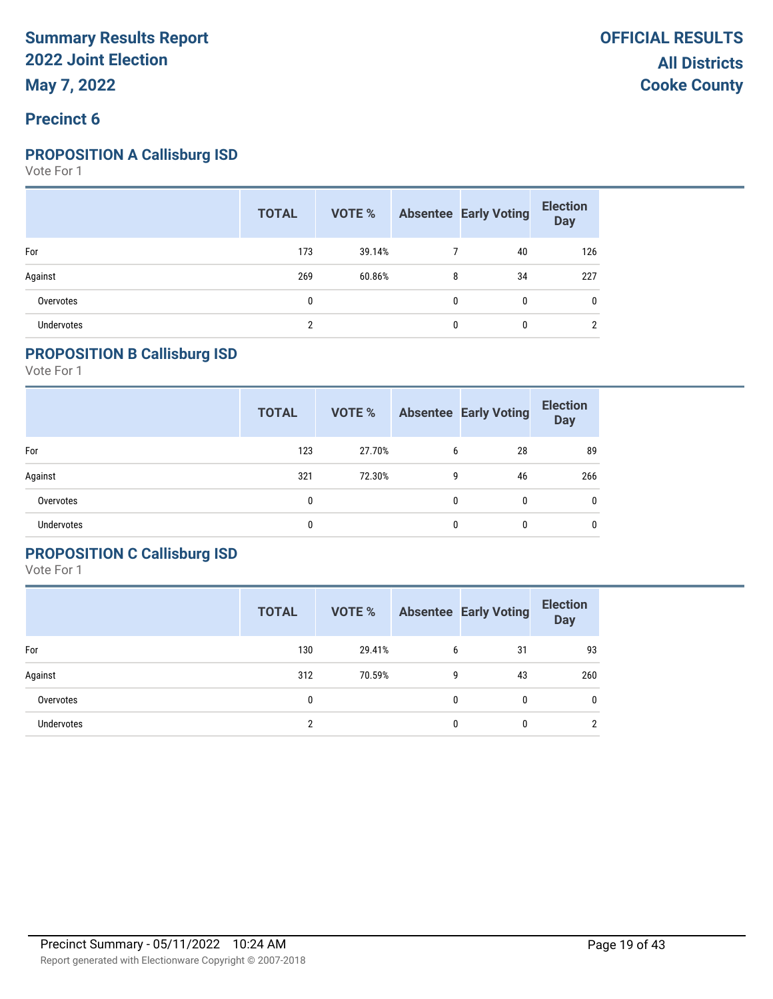### **Precinct 6**

#### **PROPOSITION A Callisburg ISD**

Vote For 1

|                   | <b>TOTAL</b> |        |              | <b>VOTE %</b> Absentee Early Voting | <b>Election</b><br>Day |
|-------------------|--------------|--------|--------------|-------------------------------------|------------------------|
| For               | 173          | 39.14% |              | 40                                  | 126                    |
| Against           | 269          | 60.86% | 8            | 34                                  | 227                    |
| Overvotes         | 0            |        | $\mathbf{0}$ | 0                                   | $\mathbf{0}$           |
| <b>Undervotes</b> | <sup>n</sup> |        | $\mathbf{0}$ | 0                                   | ∩                      |

### **PROPOSITION B Callisburg ISD**

Vote For 1

|                   | <b>TOTAL</b> | <b>VOTE %</b> |   | <b>Absentee Early Voting</b> | <b>Election</b><br><b>Day</b> |
|-------------------|--------------|---------------|---|------------------------------|-------------------------------|
| For               | 123          | 27.70%        | 6 | 28                           | 89                            |
| Against           | 321          | 72.30%        | 9 | 46                           | 266                           |
| Overvotes         | 0            |               | 0 | 0                            | 0                             |
| <b>Undervotes</b> |              |               | 0 | 0                            | 0                             |

### **PROPOSITION C Callisburg ISD**

|                   | <b>TOTAL</b> | VOTE % |   | <b>Absentee Early Voting</b> | <b>Election</b><br><b>Day</b> |
|-------------------|--------------|--------|---|------------------------------|-------------------------------|
| For               | 130          | 29.41% | 6 | 31                           | 93                            |
| Against           | 312          | 70.59% | 9 | 43                           | 260                           |
| Overvotes         | 0            |        | 0 | 0                            | 0                             |
| <b>Undervotes</b> | ົ            |        | 0 | 0                            | C.                            |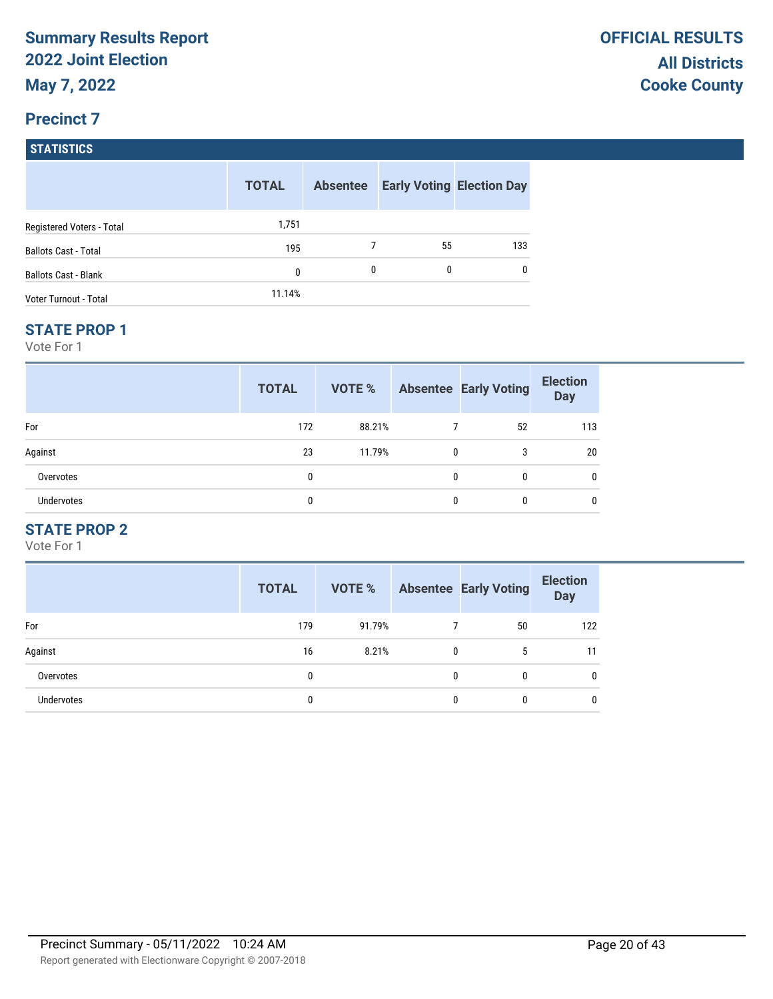# **Precinct 7 STATISTICS**

|                             | <b>TOTAL</b> | <b>Absentee</b> |    | <b>Early Voting Election Day</b> |
|-----------------------------|--------------|-----------------|----|----------------------------------|
| Registered Voters - Total   | 1,751        |                 |    |                                  |
| <b>Ballots Cast - Total</b> | 195          |                 | 55 | 133                              |
| <b>Ballots Cast - Blank</b> | 0            | 0               | 0  | 0                                |
| Voter Turnout - Total       | 11.14%       |                 |    |                                  |

#### **STATE PROP 1**

Vote For 1

|                   | <b>TOTAL</b> | VOTE % |          | <b>Absentee Early Voting</b> | <b>Election</b><br><b>Day</b> |
|-------------------|--------------|--------|----------|------------------------------|-------------------------------|
| For               | 172          | 88.21% |          | 52                           | 113                           |
| Against           | 23           | 11.79% | 0        | 3                            | 20                            |
| Overvotes         | 0            |        | $\Omega$ | $\mathbf{0}$                 | 0                             |
| <b>Undervotes</b> | 0            |        | 0        | 0                            | 0                             |

## **STATE PROP 2**

|                   | <b>TOTAL</b> | VOTE % |   | <b>Absentee Early Voting</b> | <b>Election</b><br><b>Day</b> |
|-------------------|--------------|--------|---|------------------------------|-------------------------------|
| For               | 179          | 91.79% |   | 50                           | 122                           |
| Against           | 16           | 8.21%  | 0 | 5                            | 11                            |
| Overvotes         | 0            |        | 0 | 0                            | 0                             |
| <b>Undervotes</b> | 0            |        | 0 | 0                            | 0                             |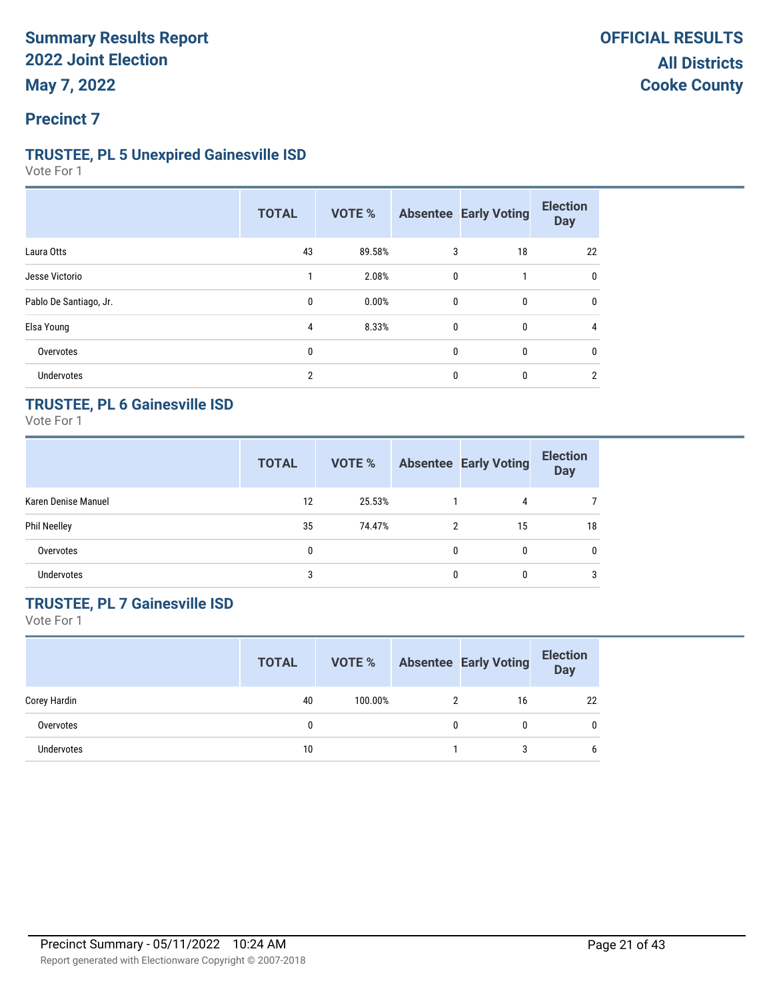## **TRUSTEE, PL 5 Unexpired Gainesville ISD**

Vote For 1

|                        | <b>TOTAL</b>   | <b>VOTE %</b> |              | <b>Absentee Early Voting</b> | <b>Election</b><br><b>Day</b> |
|------------------------|----------------|---------------|--------------|------------------------------|-------------------------------|
| Laura Otts             | 43             | 89.58%        | 3            | 18                           | 22                            |
| Jesse Victorio         |                | 2.08%         | 0            |                              | 0                             |
| Pablo De Santiago, Jr. | 0              | 0.00%         | $\mathbf 0$  | $\mathbf{0}$                 | 0                             |
| Elsa Young             | 4              | 8.33%         | 0            | $\mathbf{0}$                 | 4                             |
| Overvotes              | 0              |               | $\mathbf{0}$ | 0                            | 0                             |
| <b>Undervotes</b>      | $\overline{2}$ |               | 0            | 0                            | 2                             |

## **TRUSTEE, PL 6 Gainesville ISD**

Vote For 1

|                     | <b>TOTAL</b> | VOTE % |          | <b>Absentee Early Voting</b> | <b>Election</b><br><b>Day</b> |
|---------------------|--------------|--------|----------|------------------------------|-------------------------------|
| Karen Denise Manuel | 12           | 25.53% |          | 4                            |                               |
| <b>Phil Neelley</b> | 35           | 74.47% | 2        | 15                           | 18                            |
| Overvotes           | 0            |        | $\Omega$ | 0                            | $\mathbf{0}$                  |
| <b>Undervotes</b>   | 3            |        |          |                              | 3                             |

## **TRUSTEE, PL 7 Gainesville ISD**

|              | <b>TOTAL</b> | <b>VOTE %</b> |   | <b>Absentee Early Voting</b> | <b>Election</b><br><b>Day</b> |
|--------------|--------------|---------------|---|------------------------------|-------------------------------|
| Corey Hardin | 40           | 100.00%       |   | 16                           | 22                            |
| Overvotes    |              |               | 0 |                              | 0                             |
| Undervotes   | 10           |               |   | 3                            | 6                             |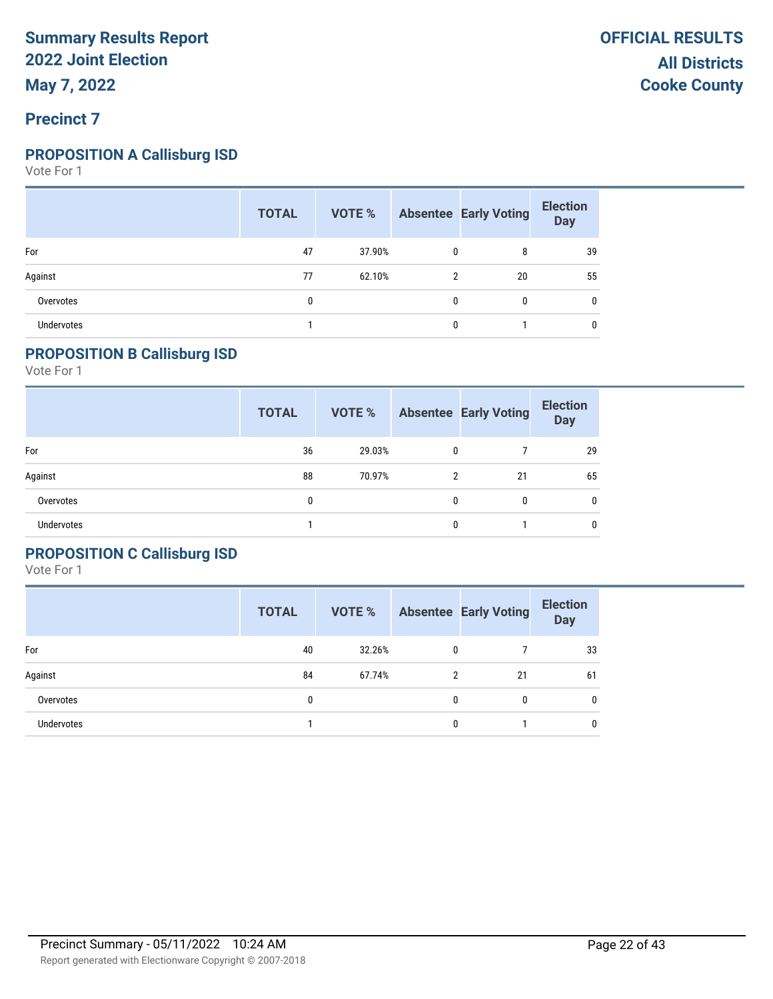### **Precinct 7**

### **PROPOSITION A Callisburg ISD**

Vote For 1

|            | <b>TOTAL</b> |        |              | <b>VOTE %</b> Absentee Early Voting | <b>Election</b><br><b>Day</b> |
|------------|--------------|--------|--------------|-------------------------------------|-------------------------------|
| For        | 47           | 37.90% | $\mathbf{0}$ | 8                                   | 39                            |
| Against    | 77           | 62.10% | 2            | 20                                  | 55                            |
| Overvotes  |              |        |              | $\mathbf{0}$                        | $\mathbf{0}$                  |
| Undervotes |              |        |              |                                     | 0                             |

### **PROPOSITION B Callisburg ISD**

Vote For 1

|                   | <b>TOTAL</b> | <b>VOTE %</b> |   | <b>Absentee Early Voting</b> | <b>Election</b><br><b>Day</b> |
|-------------------|--------------|---------------|---|------------------------------|-------------------------------|
| For               | 36           | 29.03%        | 0 |                              | 29                            |
| Against           | 88           | 70.97%        | 2 | 21                           | 65                            |
| Overvotes         | 0            |               | 0 | 0                            | 0                             |
| <b>Undervotes</b> |              |               | 0 |                              | 0                             |

### **PROPOSITION C Callisburg ISD**

|                   | <b>TOTAL</b> | VOTE % |              | <b>Absentee Early Voting</b> | <b>Election</b><br><b>Day</b> |
|-------------------|--------------|--------|--------------|------------------------------|-------------------------------|
| For               | 40           | 32.26% | $\mathbf{0}$ |                              | 33                            |
| Against           | 84           | 67.74% | 2            | 21                           | 61                            |
| Overvotes         | 0            |        | 0            | 0                            | 0                             |
| <b>Undervotes</b> |              |        | 0            |                              | 0                             |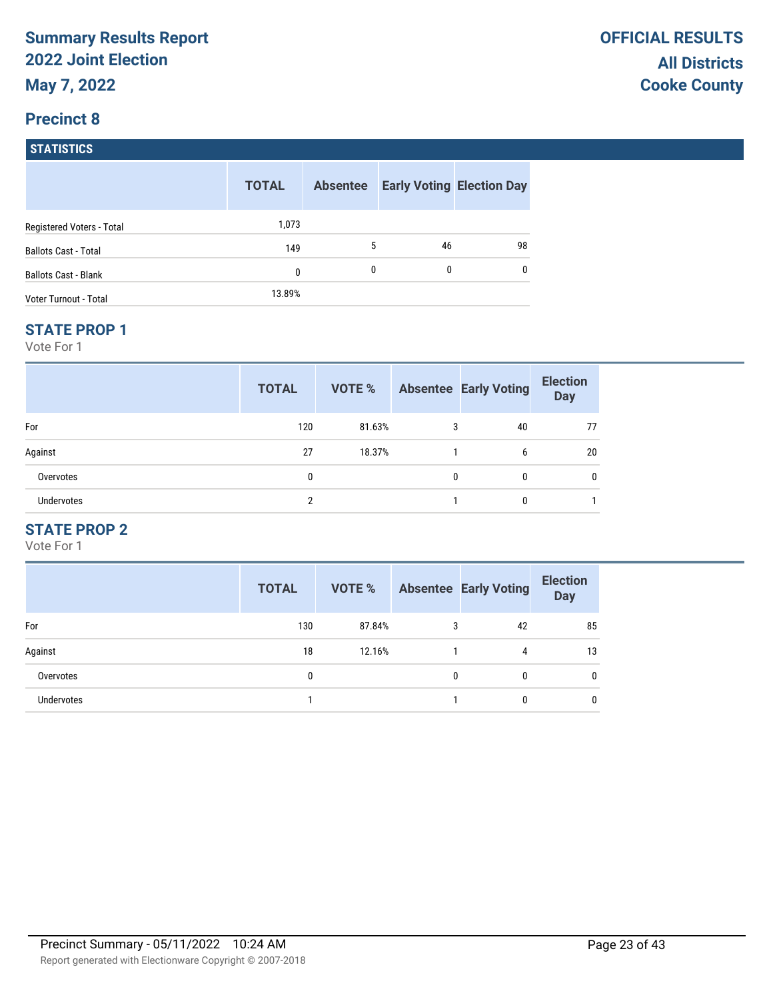## **Precinct 8 STATISTICS**

|                              | <b>TOTAL</b> | <b>Absentee</b> |    | <b>Early Voting Election Day</b> |
|------------------------------|--------------|-----------------|----|----------------------------------|
| Registered Voters - Total    | 1,073        |                 |    |                                  |
| <b>Ballots Cast - Total</b>  | 149          | 5               | 46 | 98                               |
| <b>Ballots Cast - Blank</b>  | 0            | 0               | 0  | 0                                |
| <b>Voter Turnout - Total</b> | 13.89%       |                 |    |                                  |

#### **STATE PROP 1**

Vote For 1

|            | <b>TOTAL</b> | VOTE % |   | <b>Absentee Early Voting</b> | <b>Election</b><br><b>Day</b> |
|------------|--------------|--------|---|------------------------------|-------------------------------|
| For        | 120          | 81.63% | 3 | 40                           | 77                            |
| Against    | 27           | 18.37% |   | 6                            | 20                            |
| Overvotes  | 0            |        | 0 | 0                            |                               |
| Undervotes | 2            |        |   | 0                            |                               |

## **STATE PROP 2**

|                   | <b>TOTAL</b> | <b>VOTE %</b> |   | <b>Absentee Early Voting</b> | <b>Election</b><br><b>Day</b> |
|-------------------|--------------|---------------|---|------------------------------|-------------------------------|
| For               | 130          | 87.84%        | 3 | 42                           | 85                            |
| Against           | 18           | 12.16%        |   | 4                            | 13                            |
| Overvotes         | 0            |               | 0 | 0                            | 0                             |
| <b>Undervotes</b> |              |               |   | 0                            | 0                             |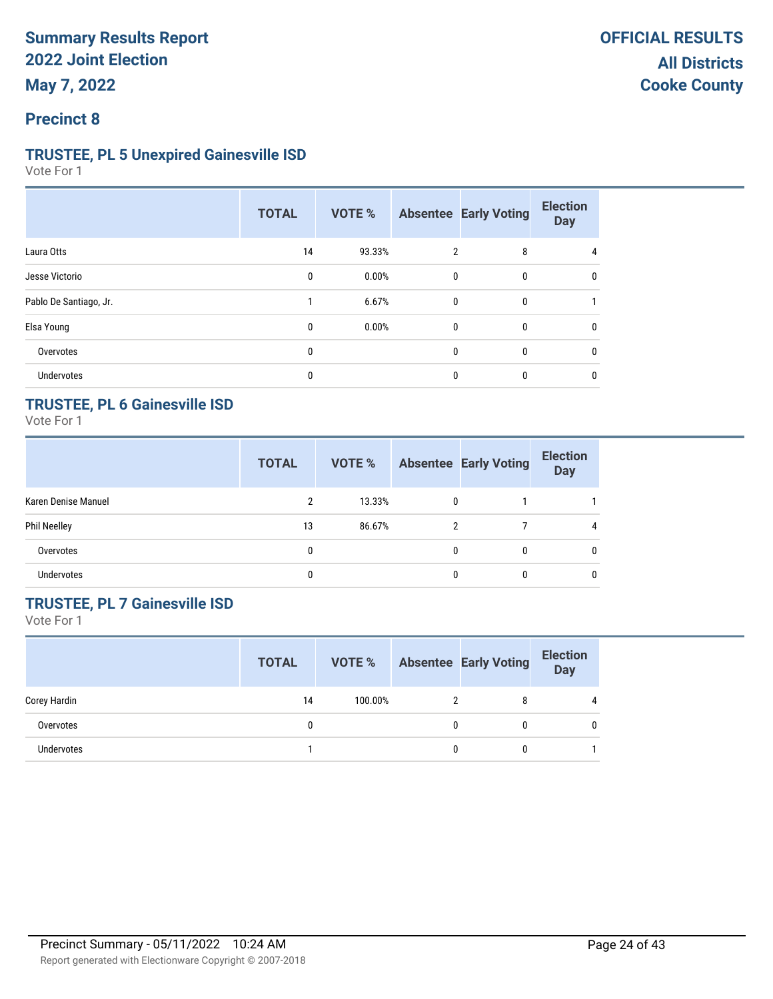### **Precinct 8**

#### **TRUSTEE, PL 5 Unexpired Gainesville ISD**

Vote For 1

|                        | <b>TOTAL</b> | VOTE % |              | <b>Absentee Early Voting</b> | <b>Election</b><br><b>Day</b> |
|------------------------|--------------|--------|--------------|------------------------------|-------------------------------|
| Laura Otts             | 14           | 93.33% | 2            | 8                            | 4                             |
| Jesse Victorio         | 0            | 0.00%  | 0            | 0                            | 0                             |
| Pablo De Santiago, Jr. |              | 6.67%  | 0            | 0                            |                               |
| Elsa Young             | $\mathbf{0}$ | 0.00%  | $\mathbf{0}$ | 0                            | 0                             |
| Overvotes              | $\mathbf{0}$ |        | 0            | 0                            | 0                             |
| Undervotes             | 0            |        | 0            | 0                            | 0                             |

## **TRUSTEE, PL 6 Gainesville ISD**

Vote For 1

|                     | <b>TOTAL</b> | VOTE % |              | <b>Absentee Early Voting</b> | <b>Election</b><br><b>Day</b> |
|---------------------|--------------|--------|--------------|------------------------------|-------------------------------|
| Karen Denise Manuel | 2            | 13.33% | $\mathbf{0}$ |                              |                               |
| <b>Phil Neelley</b> | 13           | 86.67% | 2            |                              | 4                             |
| Overvotes           | 0            |        |              | 0                            | $\mathbf{0}$                  |
| <b>Undervotes</b>   | 0            |        |              | 0                            | $\mathbf{0}$                  |

## **TRUSTEE, PL 7 Gainesville ISD**

|                   | <b>TOTAL</b> | <b>VOTE %</b> |   | <b>Absentee Early Voting</b> | <b>Election</b><br><b>Day</b> |
|-------------------|--------------|---------------|---|------------------------------|-------------------------------|
| Corey Hardin      | 14           | 100.00%       |   |                              |                               |
| Overvotes         |              |               | 0 |                              | 0                             |
| <b>Undervotes</b> |              |               | 0 |                              |                               |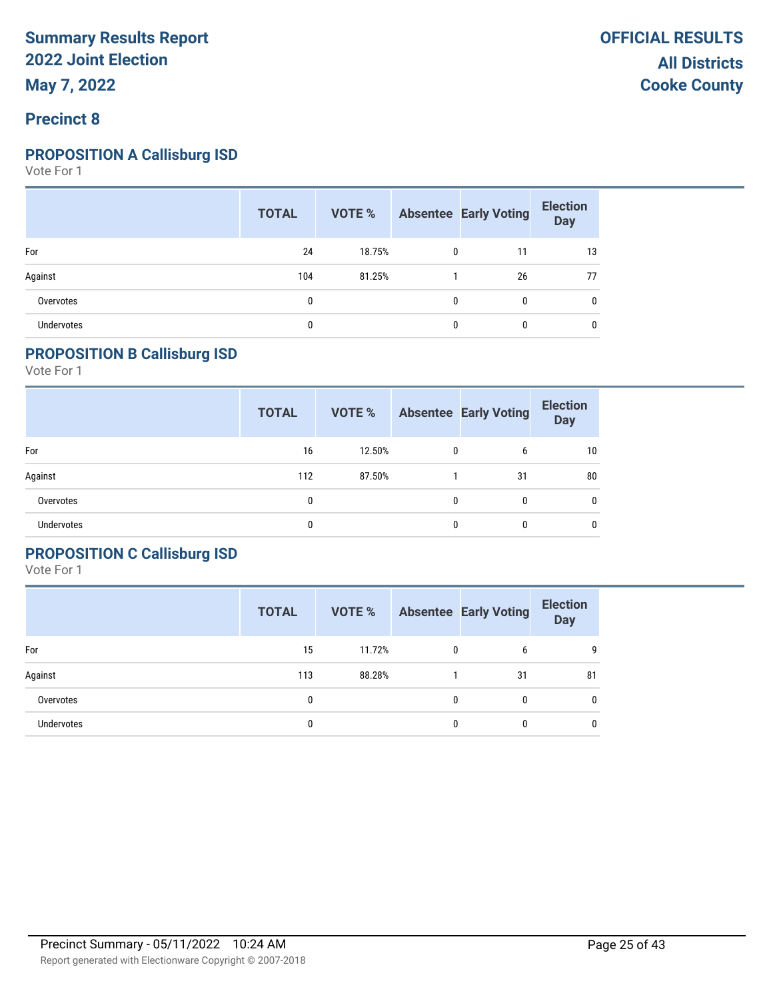#### **Precinct 8**

#### **PROPOSITION A Callisburg ISD**

Vote For 1

|                   | <b>TOTAL</b> | <b>VOTE %</b> Absentee Early Voting |              |              | <b>Election</b><br>Day |
|-------------------|--------------|-------------------------------------|--------------|--------------|------------------------|
| For               | 24           | 18.75%                              | $\mathbf{0}$ | 11           | 13                     |
| Against           | 104          | 81.25%                              |              | 26           | 77                     |
| Overvotes         | 0            |                                     | $\mathbf{0}$ | $\mathbf{0}$ | $\mathbf{0}$           |
| <b>Undervotes</b> | 0            |                                     | 0            | $\mathbf{0}$ | 0                      |

### **PROPOSITION B Callisburg ISD**

Vote For 1

|                   | <b>TOTAL</b> | <b>VOTE %</b> |              | <b>Absentee Early Voting</b> | <b>Election</b><br><b>Day</b> |
|-------------------|--------------|---------------|--------------|------------------------------|-------------------------------|
| For               | 16           | 12.50%        | 0            | 6                            | 10                            |
| Against           | 112          | 87.50%        |              | 31                           | 80                            |
| Overvotes         | 0            |               | $\mathbf{0}$ | 0                            | $\mathbf{0}$                  |
| <b>Undervotes</b> |              |               | 0            | $\mathbf{0}$                 | 0                             |

### **PROPOSITION C Callisburg ISD**

|            | <b>TOTAL</b> | VOTE % |   | <b>Absentee Early Voting</b> | <b>Election</b><br><b>Day</b> |
|------------|--------------|--------|---|------------------------------|-------------------------------|
| For        | 15           | 11.72% | 0 | 6                            | 9                             |
| Against    | 113          | 88.28% |   | 31                           | 81                            |
| Overvotes  | 0            |        | 0 | 0                            | 0                             |
| Undervotes | 0            |        | O |                              | 0                             |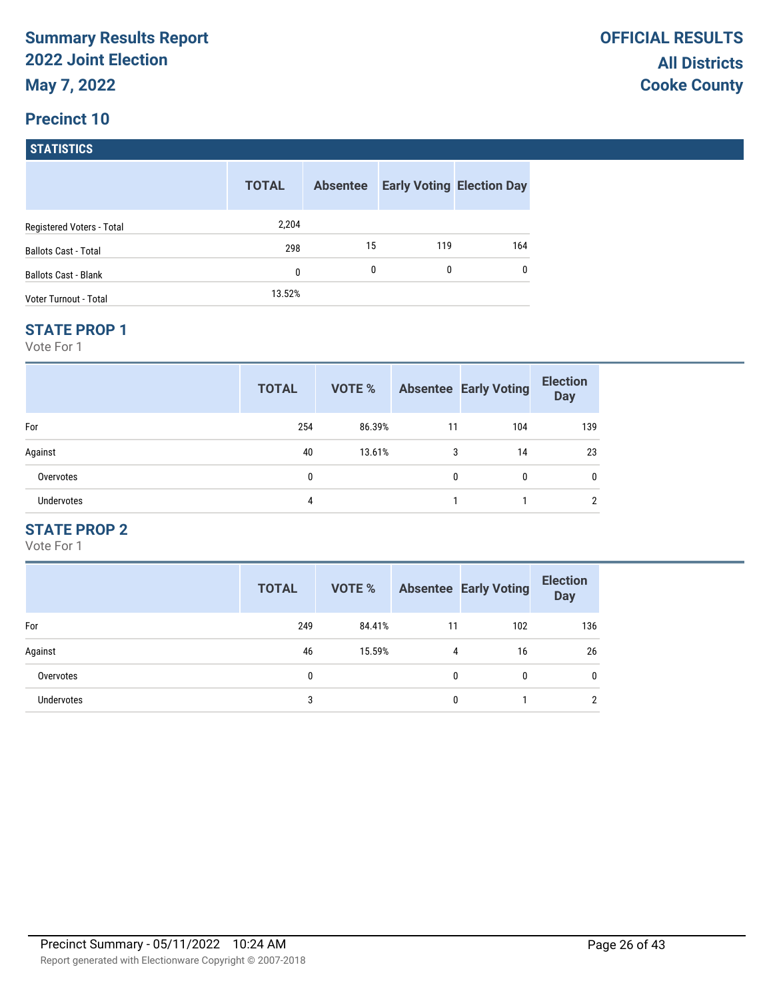### **Precinct 10**

| <b>STATISTICS</b>           |              |                 |     |                                  |
|-----------------------------|--------------|-----------------|-----|----------------------------------|
|                             | <b>TOTAL</b> | <b>Absentee</b> |     | <b>Early Voting Election Day</b> |
| Registered Voters - Total   | 2,204        |                 |     |                                  |
| <b>Ballots Cast - Total</b> | 298          | 15              | 119 | 164                              |
| <b>Ballots Cast - Blank</b> | $\mathbf{0}$ | 0               | 0   | 0                                |
| Voter Turnout - Total       | 13.52%       |                 |     |                                  |

#### **STATE PROP 1**

Vote For 1

|                   | <b>TOTAL</b> | VOTE % |    | <b>Absentee Early Voting</b> | <b>Election</b><br><b>Day</b> |
|-------------------|--------------|--------|----|------------------------------|-------------------------------|
| For               | 254          | 86.39% | 11 | 104                          | 139                           |
| Against           | 40           | 13.61% | 3  | 14                           | 23                            |
| Overvotes         | 0            |        | 0  | $\mathbf{0}$                 | 0                             |
| <b>Undervotes</b> | 4            |        |    |                              | ∩                             |

## **STATE PROP 2**

|                   | <b>TOTAL</b> | <b>VOTE %</b> |    | <b>Absentee Early Voting</b> | <b>Election</b><br><b>Day</b> |
|-------------------|--------------|---------------|----|------------------------------|-------------------------------|
| For               | 249          | 84.41%        | 11 | 102                          | 136                           |
| Against           | 46           | 15.59%        | 4  | 16                           | 26                            |
| Overvotes         | 0            |               | 0  | 0                            | 0                             |
| <b>Undervotes</b> | 3            |               | 0  |                              | 2                             |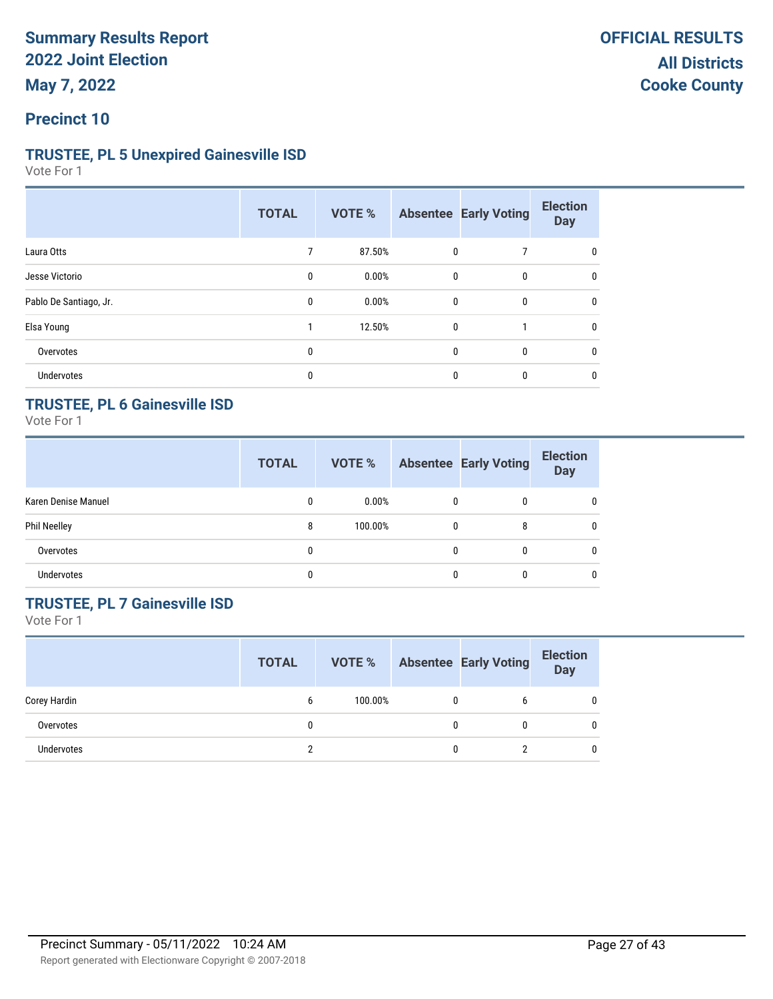#### **Precinct 10**

#### **TRUSTEE, PL 5 Unexpired Gainesville ISD**

Vote For 1

|                        | <b>TOTAL</b> | VOTE % |              | <b>Absentee Early Voting</b> | <b>Election</b><br><b>Day</b> |
|------------------------|--------------|--------|--------------|------------------------------|-------------------------------|
| Laura Otts             | 7            | 87.50% | 0            |                              | 0                             |
| Jesse Victorio         | 0            | 0.00%  | 0            | 0                            | 0                             |
| Pablo De Santiago, Jr. | $\mathbf{0}$ | 0.00%  | $\mathbf{0}$ | $\mathbf{0}$                 | $\mathbf{0}$                  |
| Elsa Young             |              | 12.50% | $\mathbf{0}$ |                              | 0                             |
| Overvotes              | 0            |        | $\mathbf{0}$ | 0                            | 0                             |
| <b>Undervotes</b>      | 0            |        | $\Omega$     | 0                            | 0                             |

### **TRUSTEE, PL 6 Gainesville ISD**

Vote For 1

|                     | <b>TOTAL</b> | VOTE %   |          | <b>Absentee Early Voting</b> | <b>Election</b><br><b>Day</b> |
|---------------------|--------------|----------|----------|------------------------------|-------------------------------|
| Karen Denise Manuel | 0            | $0.00\%$ | 0        | 0                            | $\mathbf{0}$                  |
| <b>Phil Neelley</b> | 8            | 100.00%  | $\Omega$ | 8                            | $\mathbf{0}$                  |
| Overvotes           | 0            |          |          | $\mathbf{0}$                 | $\mathbf{0}$                  |
| <b>Undervotes</b>   | 0            |          |          | 0                            | $\mathbf{0}$                  |

## **TRUSTEE, PL 7 Gainesville ISD**

|              | <b>TOTAL</b> | VOTE %  |   | <b>Absentee Early Voting</b> | <b>Election</b><br><b>Day</b> |
|--------------|--------------|---------|---|------------------------------|-------------------------------|
| Corey Hardin | 6            | 100.00% | 0 |                              | 0                             |
| Overvotes    |              |         | 0 |                              | 0                             |
| Undervotes   |              |         | 0 |                              | 0                             |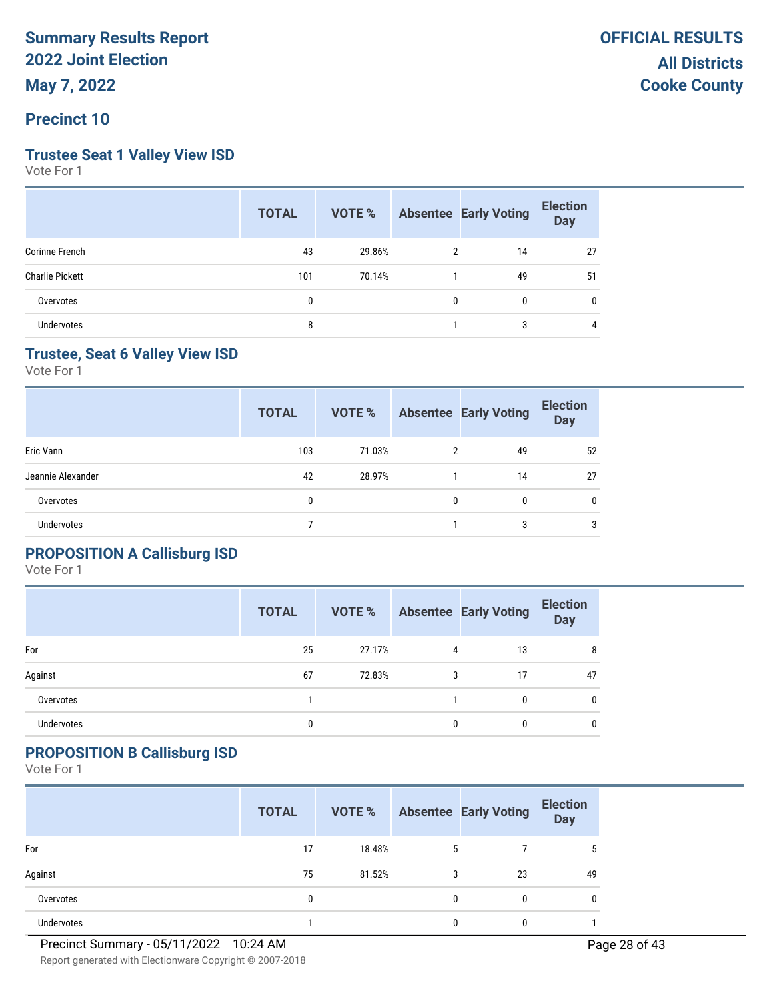# **Trustee Seat 1 Valley View ISD**

Vote For 1

|                        | <b>TOTAL</b> |        |              | <b>VOTE %</b> Absentee Early Voting | <b>Election</b><br><b>Day</b> |
|------------------------|--------------|--------|--------------|-------------------------------------|-------------------------------|
| Corinne French         | 43           | 29.86% | 2            | 14                                  | 27                            |
| <b>Charlie Pickett</b> | 101          | 70.14% | 1            | 49                                  | 51                            |
| Overvotes              | 0            |        | $\mathbf{0}$ | $\mathbf{0}$                        | 0                             |
| <b>Undervotes</b>      | 8            |        |              | 3                                   | 4                             |

### **Trustee, Seat 6 Valley View ISD**

Vote For 1

|                   | <b>TOTAL</b> | <b>VOTE %</b> |   | <b>Absentee Early Voting</b> | <b>Election</b><br><b>Day</b> |
|-------------------|--------------|---------------|---|------------------------------|-------------------------------|
| Eric Vann         | 103          | 71.03%        | 2 | 49                           | 52                            |
| Jeannie Alexander | 42           | 28.97%        |   | 14                           | 27                            |
| Overvotes         | 0            |               | 0 | 0                            | $\mathbf{0}$                  |
| <b>Undervotes</b> |              |               |   | 3                            | 3                             |

### **PROPOSITION A Callisburg ISD**

Vote For 1

|            | <b>TOTAL</b> | VOTE % |   | <b>Absentee Early Voting</b> | <b>Election</b><br><b>Day</b> |
|------------|--------------|--------|---|------------------------------|-------------------------------|
| For        | 25           | 27.17% | 4 | 13                           | 8                             |
| Against    | 67           | 72.83% | 3 | 17                           | 47                            |
| Overvotes  |              |        |   | $\Omega$                     | $\mathbf{0}$                  |
| Undervotes | 0            |        |   |                              | $\mathbf{0}$                  |

## **PROPOSITION B Callisburg ISD**

|            | <b>TOTAL</b> | VOTE % |              | <b>Absentee Early Voting</b> | <b>Election</b><br>Day |
|------------|--------------|--------|--------------|------------------------------|------------------------|
| For        | 17           | 18.48% | 5            |                              |                        |
| Against    | 75           | 81.52% | 3            | 23                           | 49                     |
| Overvotes  | 0            |        | $\mathbf{0}$ | 0                            | 0                      |
| Undervotes |              |        | 0            |                              |                        |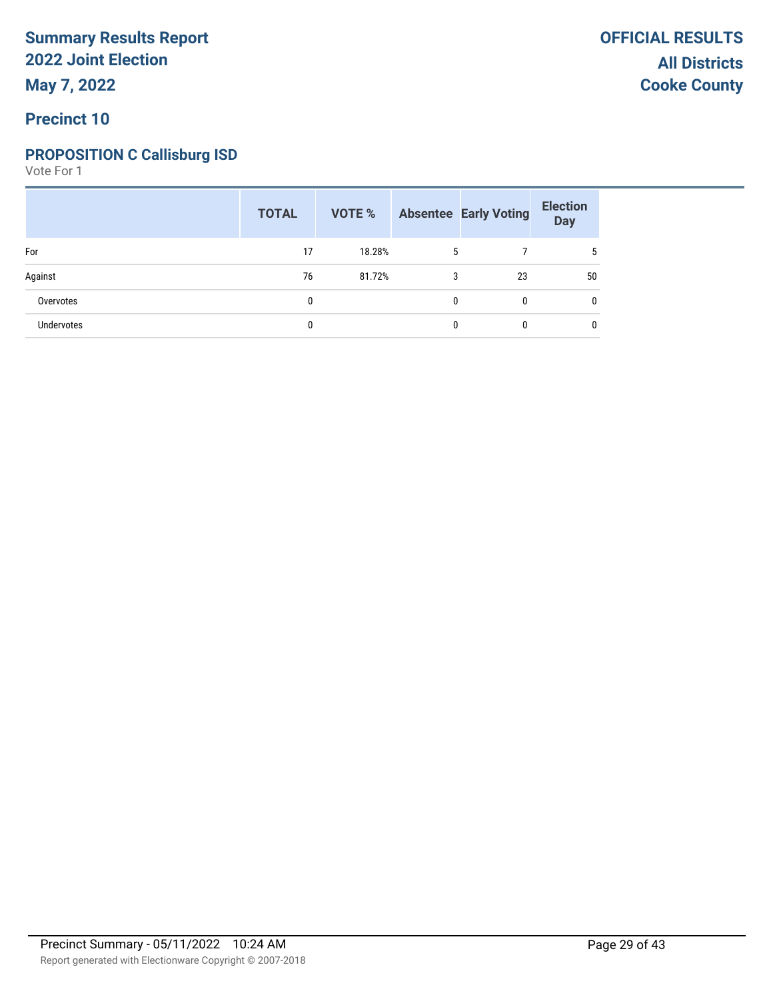### **PROPOSITION C Callisburg ISD**

|            | <b>TOTAL</b> | VOTE % |   | <b>Absentee Early Voting</b> | <b>Election</b><br>Day |
|------------|--------------|--------|---|------------------------------|------------------------|
| For        | 17           | 18.28% | 5 |                              |                        |
| Against    | 76           | 81.72% | 3 | 23                           | 50                     |
| Overvotes  | 0            |        | 0 | 0                            |                        |
| Undervotes | 0            |        | 0 | 0                            |                        |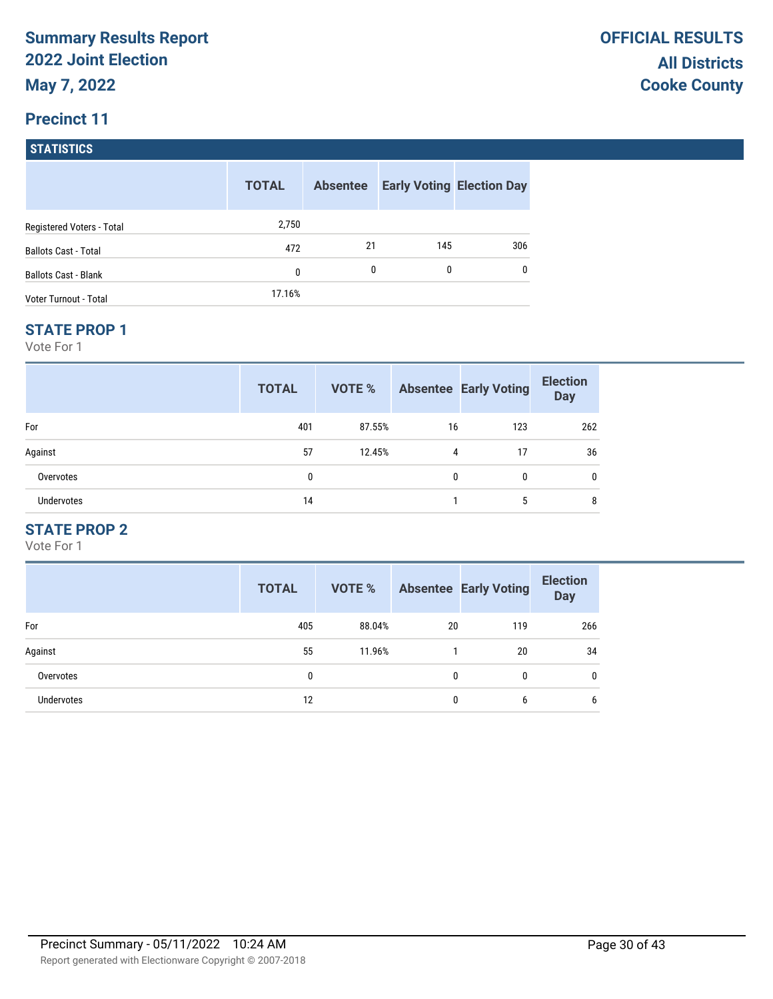## **Precinct 11**

**STATISTICS**

|                              | <b>TOTAL</b> | <b>Absentee</b> |     | <b>Early Voting Election Day</b> |
|------------------------------|--------------|-----------------|-----|----------------------------------|
| Registered Voters - Total    | 2,750        |                 |     |                                  |
| <b>Ballots Cast - Total</b>  | 472          | 21              | 145 | 306                              |
| <b>Ballots Cast - Blank</b>  | 0            | 0               | 0   | 0                                |
| <b>Voter Turnout - Total</b> | 17.16%       |                 |     |                                  |

#### **STATE PROP 1**

Vote For 1

|                   | <b>TOTAL</b> | VOTE % |          | <b>Absentee Early Voting</b> | <b>Election</b><br><b>Day</b> |
|-------------------|--------------|--------|----------|------------------------------|-------------------------------|
| For               | 401          | 87.55% | 16       | 123                          | 262                           |
| Against           | 57           | 12.45% | 4        | 17                           | 36                            |
| Overvotes         | 0            |        | $\Omega$ | 0                            | 0                             |
| <b>Undervotes</b> | 14           |        |          | 5                            | 8                             |

## **STATE PROP 2**

|                   | <b>TOTAL</b> | <b>VOTE %</b> |    | <b>Absentee Early Voting</b> | <b>Election</b><br><b>Day</b> |
|-------------------|--------------|---------------|----|------------------------------|-------------------------------|
| For               | 405          | 88.04%        | 20 | 119                          | 266                           |
| Against           | 55           | 11.96%        |    | 20                           | 34                            |
| Overvotes         | 0            |               | 0  | 0                            | 0                             |
| <b>Undervotes</b> | 12           |               | 0  | 6                            | 6                             |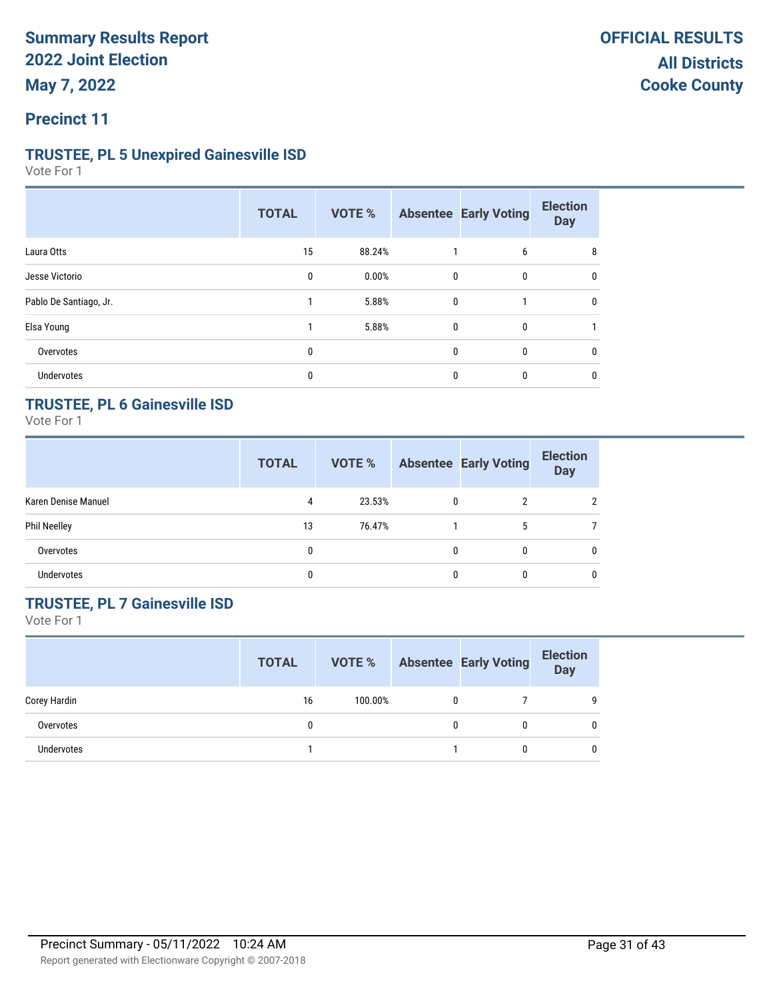### **Precinct 11**

#### **TRUSTEE, PL 5 Unexpired Gainesville ISD**

Vote For 1

|                        | <b>TOTAL</b> | VOTE % |              | <b>Absentee Early Voting</b> | <b>Election</b><br><b>Day</b> |
|------------------------|--------------|--------|--------------|------------------------------|-------------------------------|
| Laura Otts             | 15           | 88.24% |              | 6                            | 8                             |
| Jesse Victorio         | 0            | 0.00%  | $\mathbf{0}$ | 0                            | 0                             |
| Pablo De Santiago, Jr. |              | 5.88%  | $\mathbf{0}$ |                              | $\mathbf{0}$                  |
| Elsa Young             |              | 5.88%  | $\mathbf{0}$ | 0                            |                               |
| Overvotes              | 0            |        | $\mathbf{0}$ | 0                            | 0                             |
| Undervotes             | 0            |        | $\mathbf{0}$ | 0                            | 0                             |

### **TRUSTEE, PL 6 Gainesville ISD**

Vote For 1

|                     | <b>TOTAL</b> | VOTE % |              | <b>Absentee Early Voting</b> | <b>Election</b><br><b>Day</b> |
|---------------------|--------------|--------|--------------|------------------------------|-------------------------------|
| Karen Denise Manuel | 4            | 23.53% | $\mathbf{0}$ | 2                            |                               |
| <b>Phil Neelley</b> | 13           | 76.47% |              | 5                            |                               |
| Overvotes           | 0            |        |              | $\mathbf{0}$                 | $\mathbf{0}$                  |
| <b>Undervotes</b>   | 0            |        |              | 0                            | $\mathbf{0}$                  |

## **TRUSTEE, PL 7 Gainesville ISD**

|              | <b>TOTAL</b> | VOTE %  |   | <b>Absentee Early Voting</b> | <b>Election</b><br><b>Day</b> |
|--------------|--------------|---------|---|------------------------------|-------------------------------|
| Corey Hardin | 16           | 100.00% | 0 |                              | 9                             |
| Overvotes    | 0            |         | 0 |                              | 0                             |
| Undervotes   |              |         |   |                              | $\Omega$                      |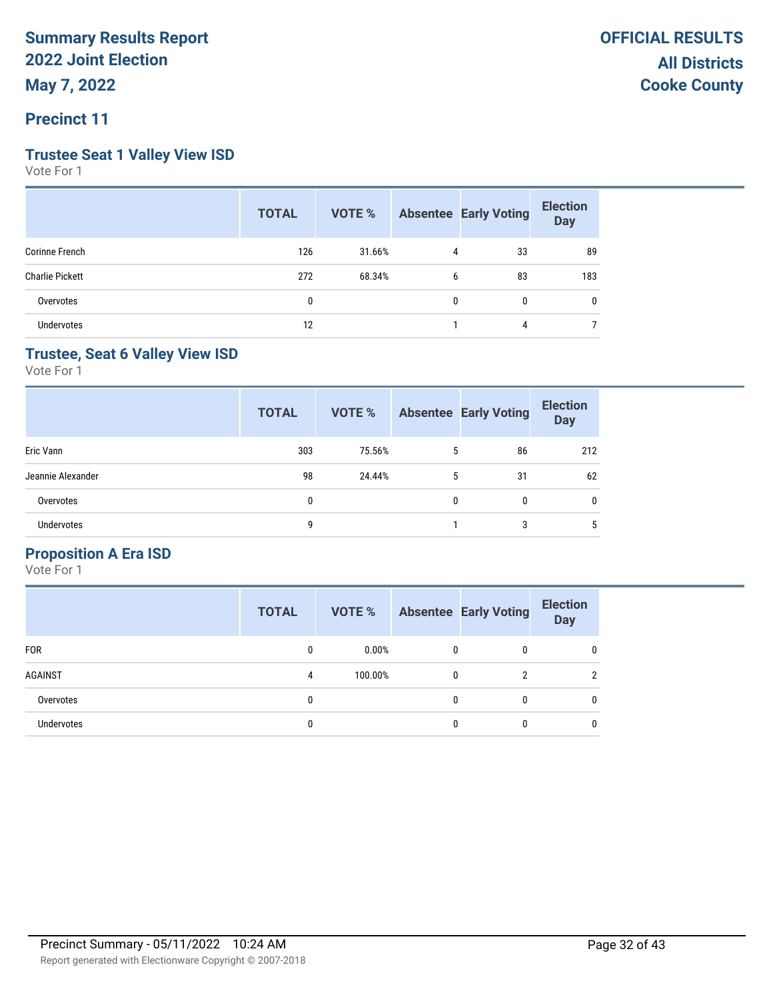### **Precinct 11**

### **Trustee Seat 1 Valley View ISD**

Vote For 1

|                        | <b>TOTAL</b> |        |              | <b>VOTE %</b> Absentee Early Voting | <b>Election</b><br>Day |
|------------------------|--------------|--------|--------------|-------------------------------------|------------------------|
| Corinne French         | 126          | 31.66% | 4            | 33                                  | 89                     |
| <b>Charlie Pickett</b> | 272          | 68.34% | 6            | 83                                  | 183                    |
| Overvotes              | 0            |        | $\mathbf{0}$ | $\mathbf{0}$                        | 0                      |
| <b>Undervotes</b>      | 12           |        |              | 4                                   |                        |

### **Trustee, Seat 6 Valley View ISD**

Vote For 1

|                   | <b>TOTAL</b> | <b>VOTE %</b> |   | <b>Absentee Early Voting</b> | <b>Election</b><br><b>Day</b> |
|-------------------|--------------|---------------|---|------------------------------|-------------------------------|
| Eric Vann         | 303          | 75.56%        | 5 | 86                           | 212                           |
| Jeannie Alexander | 98           | 24.44%        | 5 | 31                           | 62                            |
| Overvotes         | 0            |               | 0 | 0                            | $\mathbf{0}$                  |
| <b>Undervotes</b> | 9            |               |   | 3                            | 5                             |

#### **Proposition A Era ISD**

|                | <b>TOTAL</b> | VOTE %   |   | <b>Absentee Early Voting</b> | <b>Election</b><br><b>Day</b> |
|----------------|--------------|----------|---|------------------------------|-------------------------------|
| <b>FOR</b>     | 0            | $0.00\%$ | 0 | 0                            | 0                             |
| <b>AGAINST</b> | 4            | 100.00%  | 0 | າ                            | $\mathfrak{p}$                |
| Overvotes      | 0            |          | 0 | 0                            | 0                             |
| Undervotes     | 0            |          |   |                              | 0                             |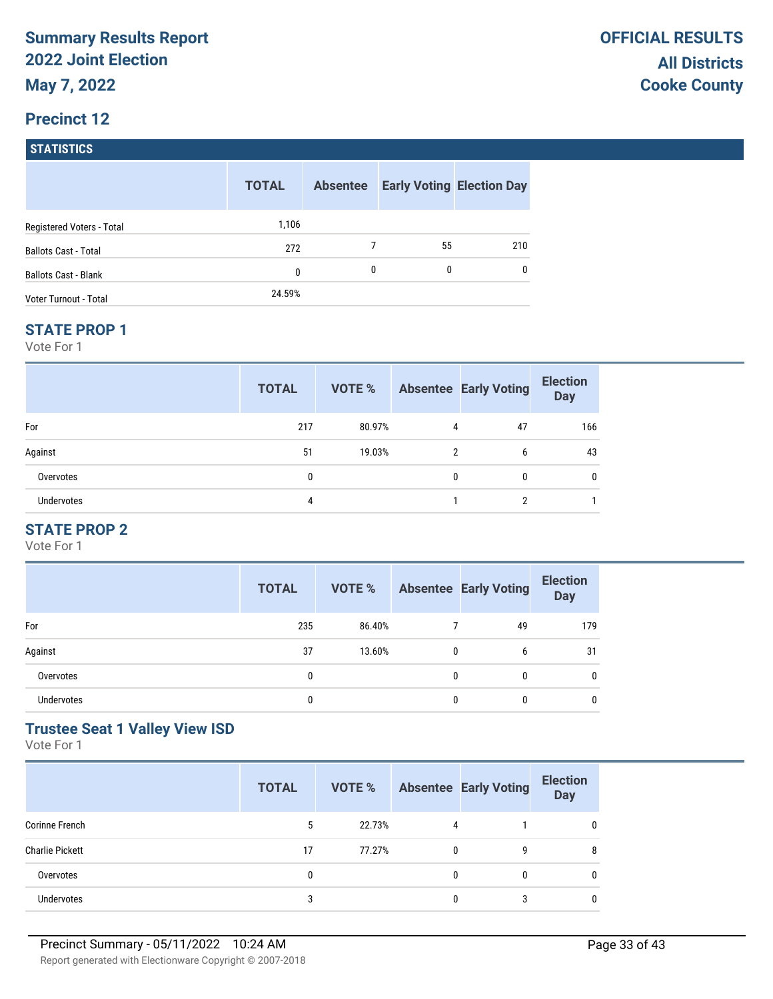#### **Precinct 12**

**STATISTICS**

|                             | <b>TOTAL</b> | <b>Absentee</b> |    | <b>Early Voting Election Day</b> |
|-----------------------------|--------------|-----------------|----|----------------------------------|
| Registered Voters - Total   | 1,106        |                 |    |                                  |
| <b>Ballots Cast - Total</b> | 272          |                 | 55 | 210                              |
| <b>Ballots Cast - Blank</b> | 0            | 0               | 0  | $\mathbf{0}$                     |
| Voter Turnout - Total       | 24.59%       |                 |    |                                  |

#### **STATE PROP 1**

Vote For 1

|            | <b>TOTAL</b> | <b>VOTE %</b> |               | <b>Absentee Early Voting</b> | <b>Election</b><br><b>Day</b> |
|------------|--------------|---------------|---------------|------------------------------|-------------------------------|
| For        | 217          | 80.97%        | 4             | 47                           | 166                           |
| Against    | 51           | 19.03%        | $\mathcal{P}$ | 6                            | 43                            |
| Overvotes  | 0            |               | <sup>0</sup>  | 0                            | 0                             |
| Undervotes | 4            |               |               | റ                            |                               |

## **STATE PROP 2**

Vote For 1

|                   | <b>TOTAL</b> | VOTE % |   | <b>Absentee Early Voting</b> | <b>Election</b><br><b>Day</b> |
|-------------------|--------------|--------|---|------------------------------|-------------------------------|
| For               | 235          | 86.40% |   | 49                           | 179                           |
| Against           | 37           | 13.60% | 0 | 6                            | 31                            |
| Overvotes         | 0            |        | 0 | 0                            | 0                             |
| <b>Undervotes</b> | 0            |        | 0 | 0                            | 0                             |

## **Trustee Seat 1 Valley View ISD**

|                        | <b>TOTAL</b> | VOTE % |   | <b>Absentee Early Voting</b> | <b>Election</b><br><b>Day</b> |
|------------------------|--------------|--------|---|------------------------------|-------------------------------|
| Corinne French         | 5            | 22.73% | 4 |                              | 0                             |
| <b>Charlie Pickett</b> | 17           | 77.27% | 0 | 9                            | 8                             |
| Overvotes              |              |        | 0 | 0                            | 0                             |
| <b>Undervotes</b>      |              |        | 0 | 3                            | 0                             |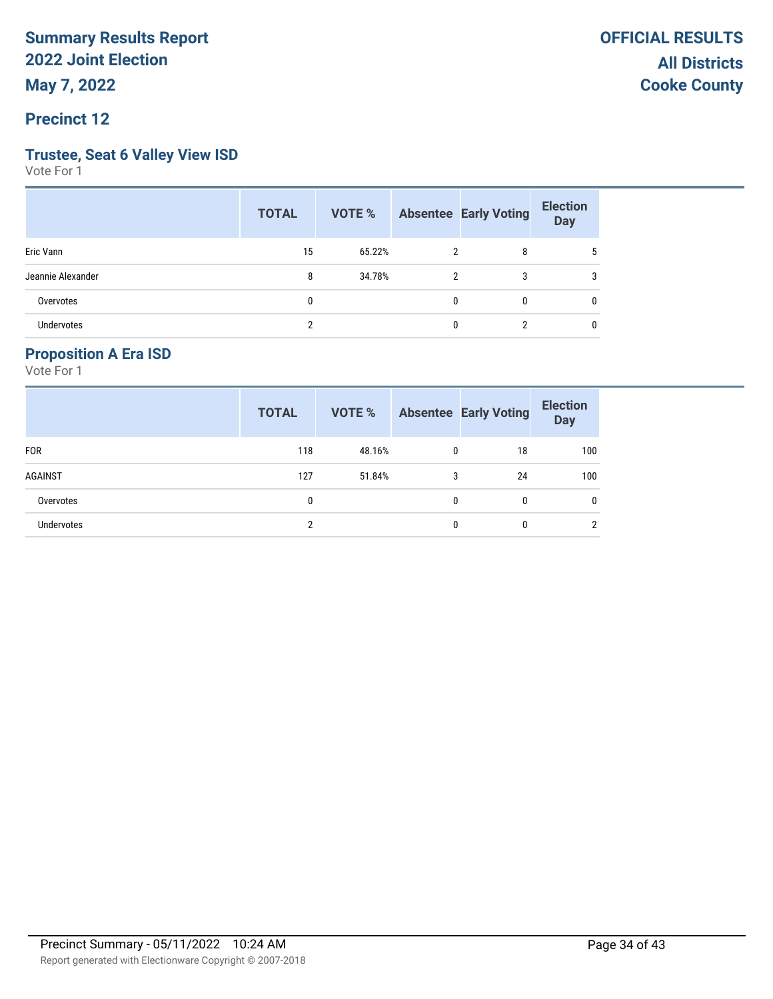#### **Precinct 12**

#### **Trustee, Seat 6 Valley View ISD**

Vote For 1

|                   | <b>TOTAL</b> |        |   | <b>VOTE %</b> Absentee Early Voting | <b>Election</b><br><b>Day</b> |
|-------------------|--------------|--------|---|-------------------------------------|-------------------------------|
| Eric Vann         | 15           | 65.22% | 2 | 8                                   | 5                             |
| Jeannie Alexander | 8            | 34.78% | 2 | 3                                   | 3                             |
| Overvotes         | 0            |        |   | $\mathbf{0}$                        | 0                             |
| Undervotes        | ∩            |        |   |                                     | 0                             |

### **Proposition A Era ISD**

|                   | <b>TOTAL</b> | VOTE % |   | <b>Absentee Early Voting</b> | <b>Election</b><br><b>Day</b> |
|-------------------|--------------|--------|---|------------------------------|-------------------------------|
| <b>FOR</b>        | 118          | 48.16% | 0 | 18                           | 100                           |
| <b>AGAINST</b>    | 127          | 51.84% | 3 | 24                           | 100                           |
| Overvotes         | 0            |        | 0 | 0                            | $\mathbf{0}$                  |
| <b>Undervotes</b> | າ            |        | 0 | 0                            | $\overline{2}$                |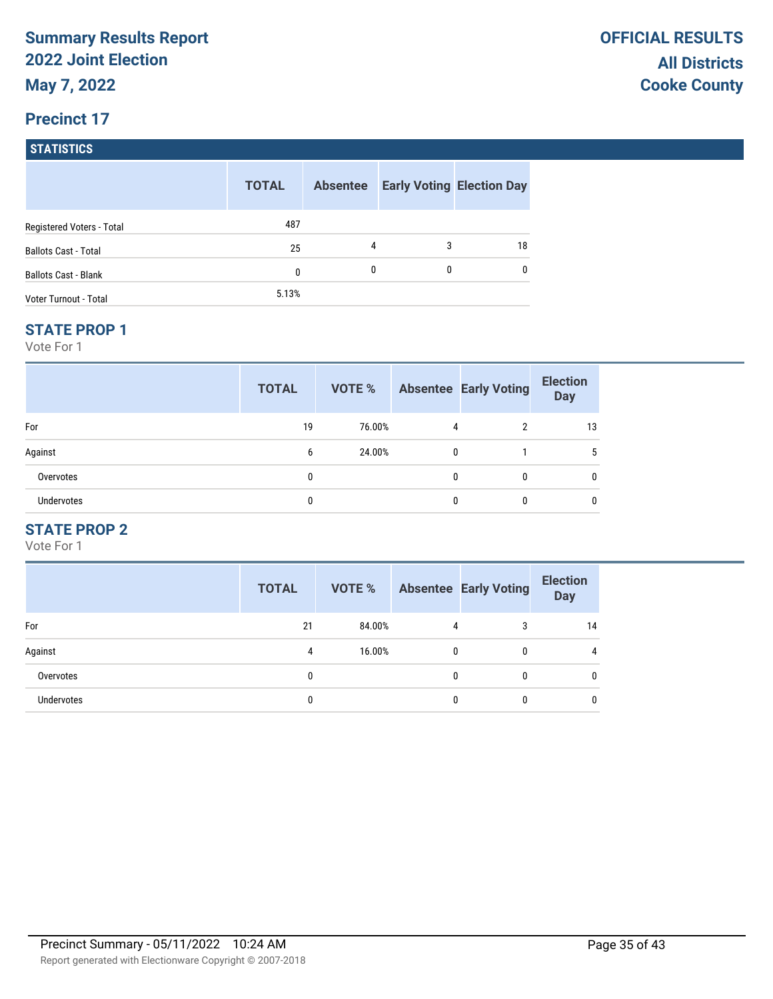#### **Precinct 17**

**STATISTICS**

|                             | <b>TOTAL</b> | <b>Absentee</b> |          | <b>Early Voting Election Day</b> |
|-----------------------------|--------------|-----------------|----------|----------------------------------|
| Registered Voters - Total   | 487          |                 |          |                                  |
| <b>Ballots Cast - Total</b> | 25           | 4               | 3        | 18                               |
| <b>Ballots Cast - Blank</b> | 0            | 0               | $\Omega$ | 0                                |
| Voter Turnout - Total       | 5.13%        |                 |          |                                  |

#### **STATE PROP 1**

Vote For 1

|                   | <b>TOTAL</b> | VOTE % |              | <b>Absentee Early Voting</b> | <b>Election</b><br><b>Day</b> |
|-------------------|--------------|--------|--------------|------------------------------|-------------------------------|
| For               | 19           | 76.00% | 4            | 2                            | 13                            |
| Against           | 6            | 24.00% | $\mathbf{0}$ |                              |                               |
| Overvotes         | 0            |        | 0            | 0                            |                               |
| <b>Undervotes</b> |              |        | 0            |                              |                               |

## **STATE PROP 2**

|                   | <b>TOTAL</b> | <b>VOTE %</b> |   | <b>Absentee Early Voting</b> | <b>Election</b><br><b>Day</b> |
|-------------------|--------------|---------------|---|------------------------------|-------------------------------|
| For               | 21           | 84.00%        | 4 | 3                            | 14                            |
| Against           | 4            | 16.00%        | 0 | 0                            | 4                             |
| Overvotes         | 0            |               | 0 | 0                            | 0                             |
| <b>Undervotes</b> | 0            |               | 0 | 0                            |                               |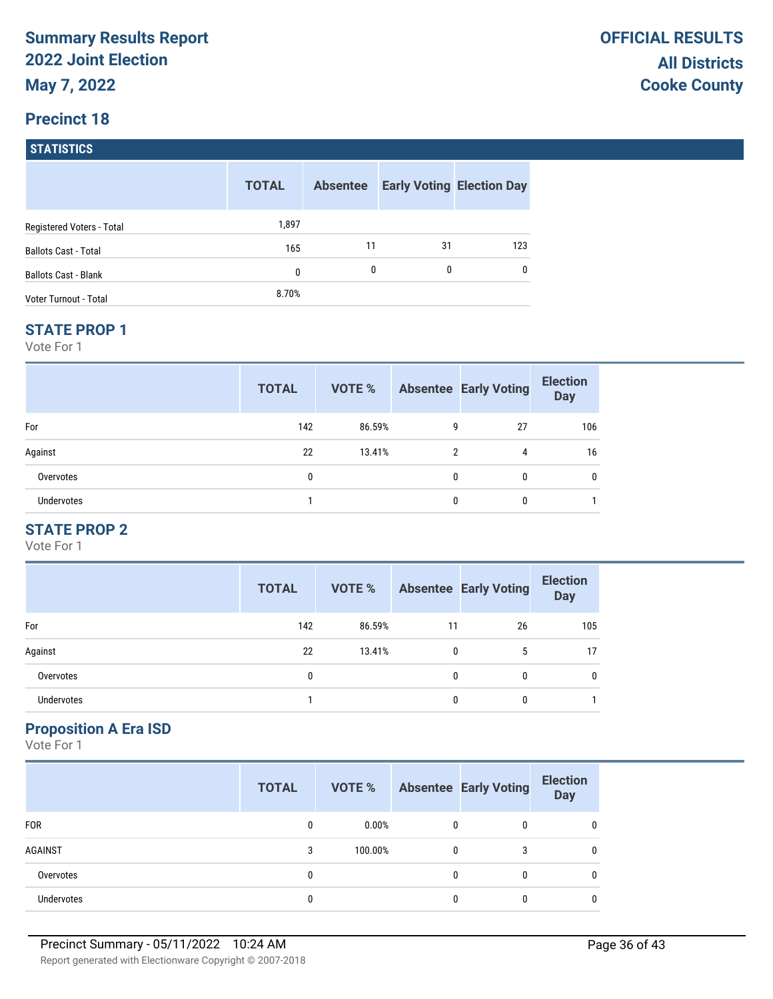### **Precinct 18**

**STATISTICS**

|                             | <b>TOTAL</b> | <b>Absentee</b> |    | <b>Early Voting Election Day</b> |
|-----------------------------|--------------|-----------------|----|----------------------------------|
| Registered Voters - Total   | 1,897        |                 |    |                                  |
| <b>Ballots Cast - Total</b> | 165          | 11              | 31 | 123                              |
| <b>Ballots Cast - Blank</b> | 0            | 0               | 0  | 0                                |
| Voter Turnout - Total       | 8.70%        |                 |    |                                  |

#### **STATE PROP 1**

Vote For 1

|                   | <b>TOTAL</b> | VOTE % |          | <b>Absentee Early Voting</b> | <b>Election</b><br><b>Day</b> |
|-------------------|--------------|--------|----------|------------------------------|-------------------------------|
| For               | 142          | 86.59% | 9        | 27                           | 106                           |
| Against           | 22           | 13.41% | 2        | 4                            | 16                            |
| Overvotes         | 0            |        | $\Omega$ | 0                            | 0                             |
| <b>Undervotes</b> |              |        | $\Omega$ | 0                            |                               |

## **STATE PROP 2**

Vote For 1

|                   | <b>TOTAL</b> | <b>VOTE %</b> |    | <b>Absentee Early Voting</b> | <b>Election</b><br><b>Day</b> |
|-------------------|--------------|---------------|----|------------------------------|-------------------------------|
| For               | 142          | 86.59%        | 11 | 26                           | 105                           |
| Against           | 22           | 13.41%        | 0  | 5                            | 17                            |
| Overvotes         | 0            |               | 0  | 0                            | 0                             |
| <b>Undervotes</b> |              |               | 0  | 0                            |                               |

#### **Proposition A Era ISD**

|                   | <b>TOTAL</b> | VOTE %   |   | <b>Absentee Early Voting</b> | <b>Election</b><br><b>Day</b> |
|-------------------|--------------|----------|---|------------------------------|-------------------------------|
| <b>FOR</b>        | 0            | $0.00\%$ | 0 | 0                            | 0                             |
| <b>AGAINST</b>    | 3            | 100.00%  | 0 | 3                            | 0                             |
| Overvotes         |              |          | 0 | 0                            | 0                             |
| <b>Undervotes</b> |              |          | 0 | 0                            | 0                             |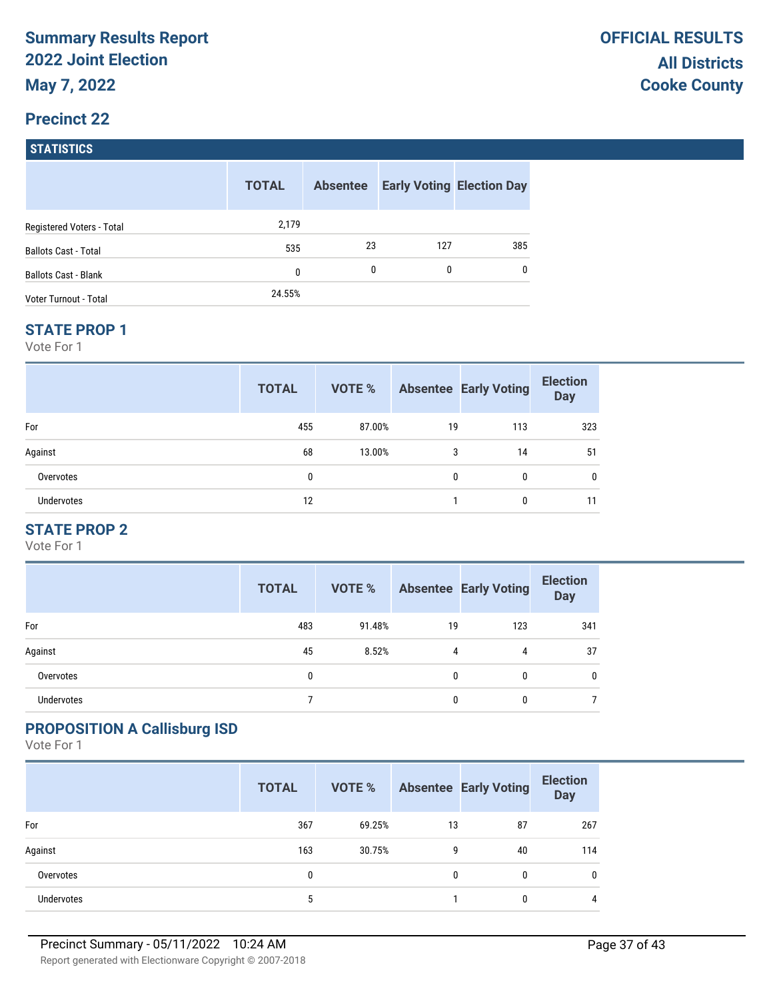#### **Precinct 22**

**STATISTICS**

|                             | <b>TOTAL</b> | <b>Absentee</b> |     | <b>Early Voting Election Day</b> |
|-----------------------------|--------------|-----------------|-----|----------------------------------|
| Registered Voters - Total   | 2,179        |                 |     |                                  |
| <b>Ballots Cast - Total</b> | 535          | 23              | 127 | 385                              |
| <b>Ballots Cast - Blank</b> | 0            | $\mathbf{0}$    | 0   | 0                                |
| Voter Turnout - Total       | 24.55%       |                 |     |                                  |

#### **STATE PROP 1**

Vote For 1

|                   | <b>TOTAL</b> | VOTE % |    | <b>Absentee Early Voting</b> | <b>Election</b><br><b>Day</b> |
|-------------------|--------------|--------|----|------------------------------|-------------------------------|
| For               | 455          | 87.00% | 19 | 113                          | 323                           |
| Against           | 68           | 13.00% | 3  | 14                           | 51                            |
| Overvotes         | 0            |        | 0  | 0                            | 0                             |
| <b>Undervotes</b> | 12           |        |    | 0                            | 11                            |

## **STATE PROP 2**

Vote For 1

|                   | <b>TOTAL</b> | VOTE % |    | <b>Absentee Early Voting</b> | <b>Election</b><br><b>Day</b> |
|-------------------|--------------|--------|----|------------------------------|-------------------------------|
| For               | 483          | 91.48% | 19 | 123                          | 341                           |
| Against           | 45           | 8.52%  | 4  | 4                            | 37                            |
| Overvotes         | 0            |        | 0  | 0                            | 0                             |
| <b>Undervotes</b> |              |        | 0  | 0                            |                               |

### **PROPOSITION A Callisburg ISD**

|            | <b>TOTAL</b> | VOTE % |    | <b>Absentee Early Voting</b> | <b>Election</b><br><b>Day</b> |
|------------|--------------|--------|----|------------------------------|-------------------------------|
| For        | 367          | 69.25% | 13 | 87                           | 267                           |
| Against    | 163          | 30.75% | 9  | 40                           | 114                           |
| Overvotes  |              |        | 0  | 0                            | 0                             |
| Undervotes | 5            |        |    | 0                            | 4                             |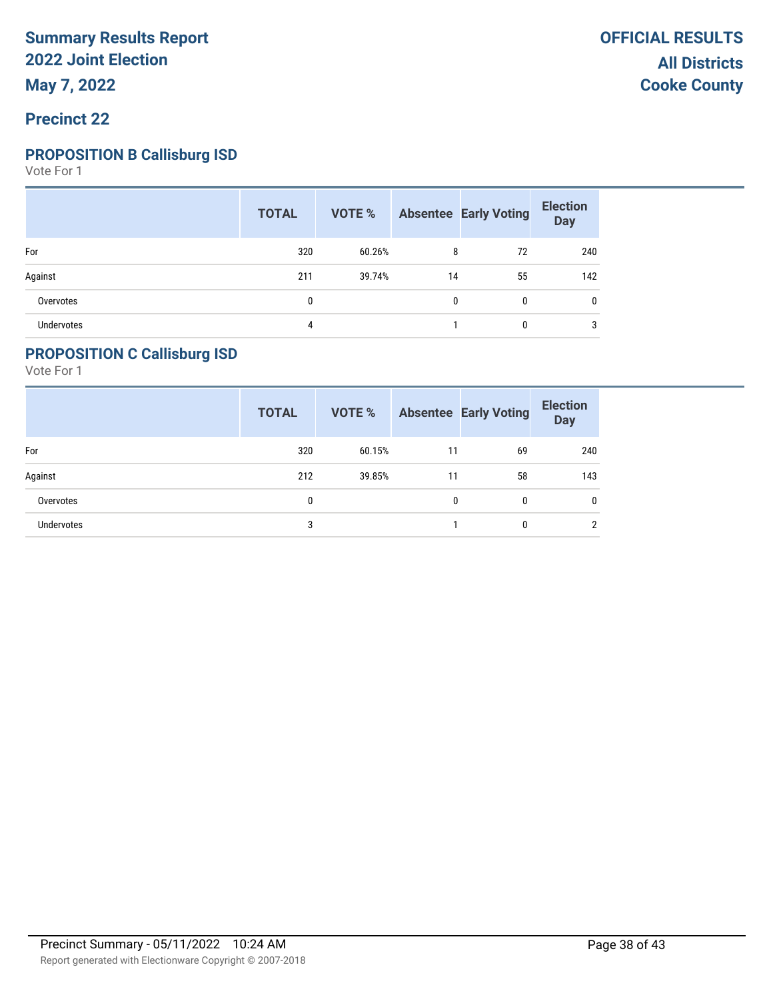#### **Precinct 22**

#### **PROPOSITION B Callisburg ISD**

Vote For 1

|            | <b>TOTAL</b> |        |    | <b>VOTE %</b> Absentee Early Voting | <b>Election</b><br>Day |
|------------|--------------|--------|----|-------------------------------------|------------------------|
| For        | 320          | 60.26% | 8  | 72                                  | 240                    |
| Against    | 211          | 39.74% | 14 | 55                                  | 142                    |
| Overvotes  | 0            |        | 0  | $\mathbf{0}$                        | 0                      |
| Undervotes | 4            |        |    | $\mathbf{0}$                        | 3                      |

#### **PROPOSITION C Callisburg ISD**

|                   | <b>TOTAL</b> | VOTE % |    | <b>Absentee Early Voting</b> | <b>Election</b><br><b>Day</b> |
|-------------------|--------------|--------|----|------------------------------|-------------------------------|
| For               | 320          | 60.15% | 11 | 69                           | 240                           |
| Against           | 212          | 39.85% | 11 | 58                           | 143                           |
| Overvotes         | 0            |        | 0  | 0                            | $\mathbf{0}$                  |
| <b>Undervotes</b> | 3            |        |    | 0                            | $\overline{2}$                |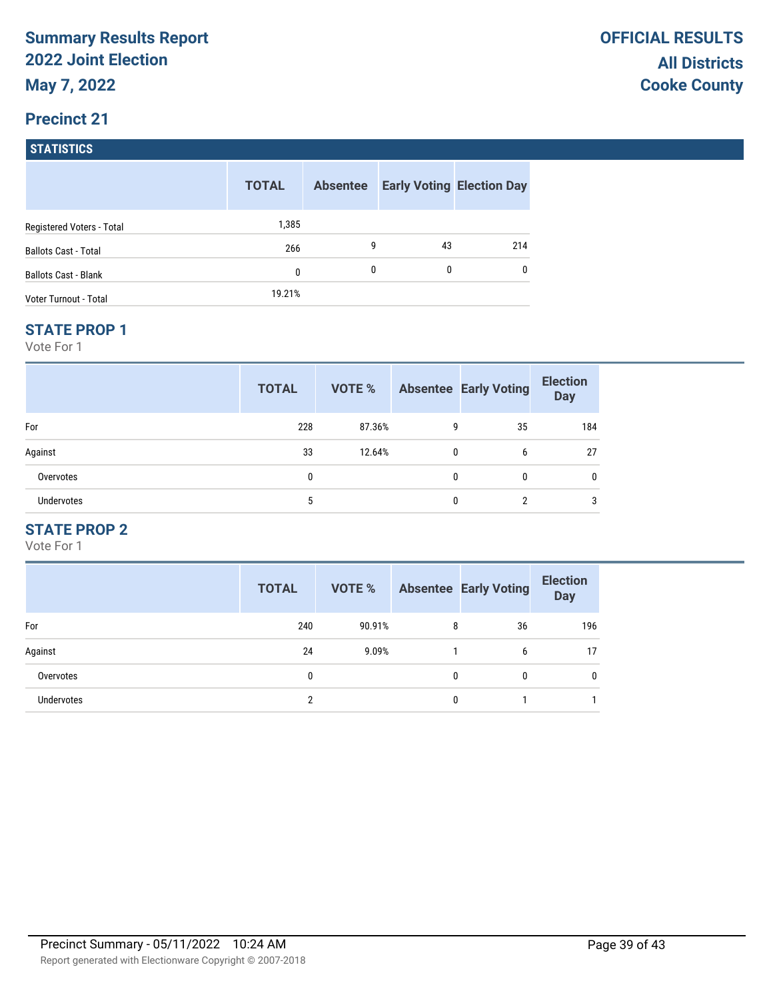## **Precinct 21**

**STATISTICS**

|                             | <b>TOTAL</b> | <b>Absentee</b> |    | <b>Early Voting Election Day</b> |
|-----------------------------|--------------|-----------------|----|----------------------------------|
| Registered Voters - Total   | 1,385        |                 |    |                                  |
| <b>Ballots Cast - Total</b> | 266          | 9               | 43 | 214                              |
| <b>Ballots Cast - Blank</b> | 0            | 0               | 0  | 0                                |
| Voter Turnout - Total       | 19.21%       |                 |    |                                  |

#### **STATE PROP 1**

Vote For 1

|            | <b>TOTAL</b> | VOTE % |              | <b>Absentee Early Voting</b> | <b>Election</b><br><b>Day</b> |
|------------|--------------|--------|--------------|------------------------------|-------------------------------|
| For        | 228          | 87.36% | 9            | 35                           | 184                           |
| Against    | 33           | 12.64% | 0            | 6                            | 27                            |
| Overvotes  | 0            |        | $\mathbf{0}$ | 0                            |                               |
| Undervotes | 5            |        | $\Omega$     | າ                            |                               |

## **STATE PROP 2**

|                   | <b>TOTAL</b> | <b>VOTE %</b> |   | <b>Absentee Early Voting</b> | <b>Election</b><br><b>Day</b> |
|-------------------|--------------|---------------|---|------------------------------|-------------------------------|
| For               | 240          | 90.91%        | 8 | 36                           | 196                           |
| Against           | 24           | 9.09%         |   | 6                            | 17                            |
| Overvotes         | 0            |               | 0 | 0                            | 0                             |
| <b>Undervotes</b> | 2            |               | 0 |                              |                               |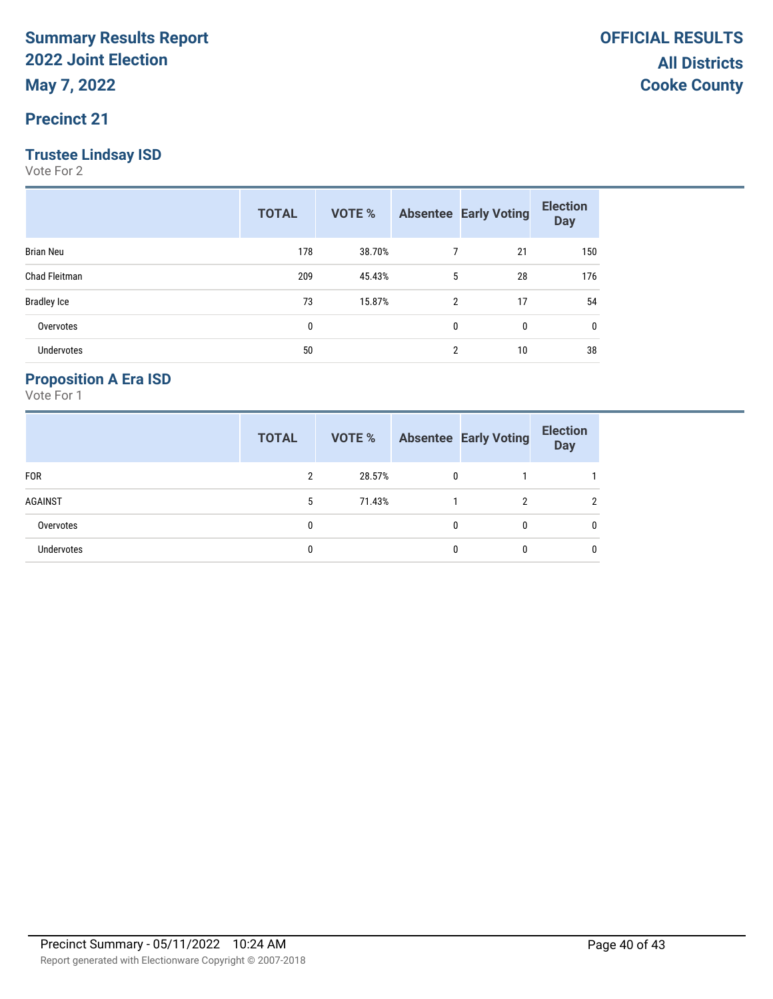### **Precinct 21**

### **Trustee Lindsay ISD**

Vote For 2

|                    | <b>TOTAL</b> | VOTE % |   | <b>Absentee Early Voting</b> | <b>Election</b><br><b>Day</b> |
|--------------------|--------------|--------|---|------------------------------|-------------------------------|
| <b>Brian Neu</b>   | 178          | 38.70% | 7 | 21                           | 150                           |
| Chad Fleitman      | 209          | 45.43% | 5 | 28                           | 176                           |
| <b>Bradley Ice</b> | 73           | 15.87% | 2 | 17                           | 54                            |
| Overvotes          | 0            |        | 0 | 0                            | 0                             |
| <b>Undervotes</b>  | 50           |        | 2 | 10                           | 38                            |

## **Proposition A Era ISD**

|                   | <b>TOTAL</b> | VOTE % |              | <b>Absentee Early Voting</b> | <b>Election</b><br><b>Day</b> |
|-------------------|--------------|--------|--------------|------------------------------|-------------------------------|
| <b>FOR</b>        | 2            | 28.57% | $\mathbf{0}$ |                              |                               |
| AGAINST           | 5            | 71.43% |              |                              |                               |
| Overvotes         | 0            |        | 0            |                              | $\mathbf{0}$                  |
| <b>Undervotes</b> | 0            |        |              |                              | $\mathbf{0}$                  |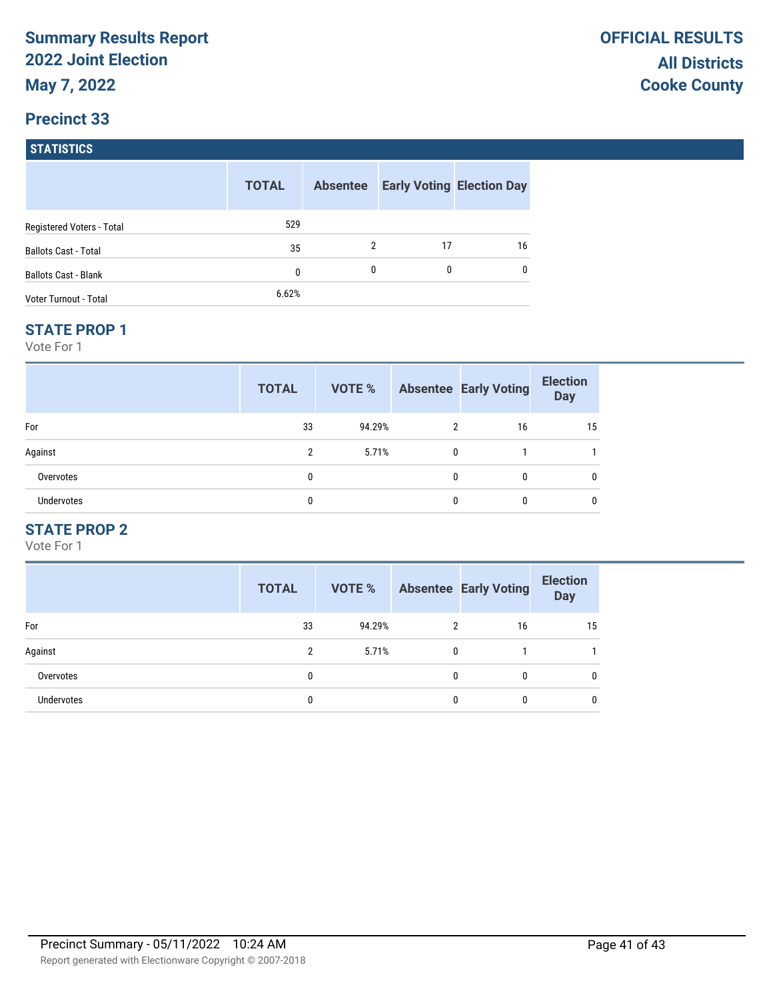#### **Precinct 33**

**STATISTICS**

|                             | <b>TOTAL</b> | <b>Absentee</b> |    | <b>Early Voting Election Day</b> |
|-----------------------------|--------------|-----------------|----|----------------------------------|
| Registered Voters - Total   | 529          |                 |    |                                  |
| <b>Ballots Cast - Total</b> | 35           | 2               | 17 | 16                               |
| <b>Ballots Cast - Blank</b> | 0            | 0               | 0  | 0                                |
| Voter Turnout - Total       | 6.62%        |                 |    |                                  |

#### **STATE PROP 1**

Vote For 1

|                   | <b>TOTAL</b>   | VOTE % |                | <b>Absentee Early Voting</b> | <b>Election</b><br><b>Day</b> |
|-------------------|----------------|--------|----------------|------------------------------|-------------------------------|
| For               | 33             | 94.29% | $\overline{2}$ | 16                           | 15                            |
| Against           | $\mathfrak{p}$ | 5.71%  | $\mathbf{0}$   |                              |                               |
| Overvotes         | 0              |        | $\theta$       |                              |                               |
| <b>Undervotes</b> |                |        | 0              |                              |                               |

## **STATE PROP 2**

|                   | <b>TOTAL</b> | VOTE % |   | <b>Absentee Early Voting</b> | <b>Election</b><br><b>Day</b> |
|-------------------|--------------|--------|---|------------------------------|-------------------------------|
| For               | 33           | 94.29% | 2 | 16                           | 15                            |
| Against           | 2            | 5.71%  | 0 |                              |                               |
| Overvotes         | 0            |        | 0 | 0                            | 0                             |
| <b>Undervotes</b> |              |        | 0 | 0                            |                               |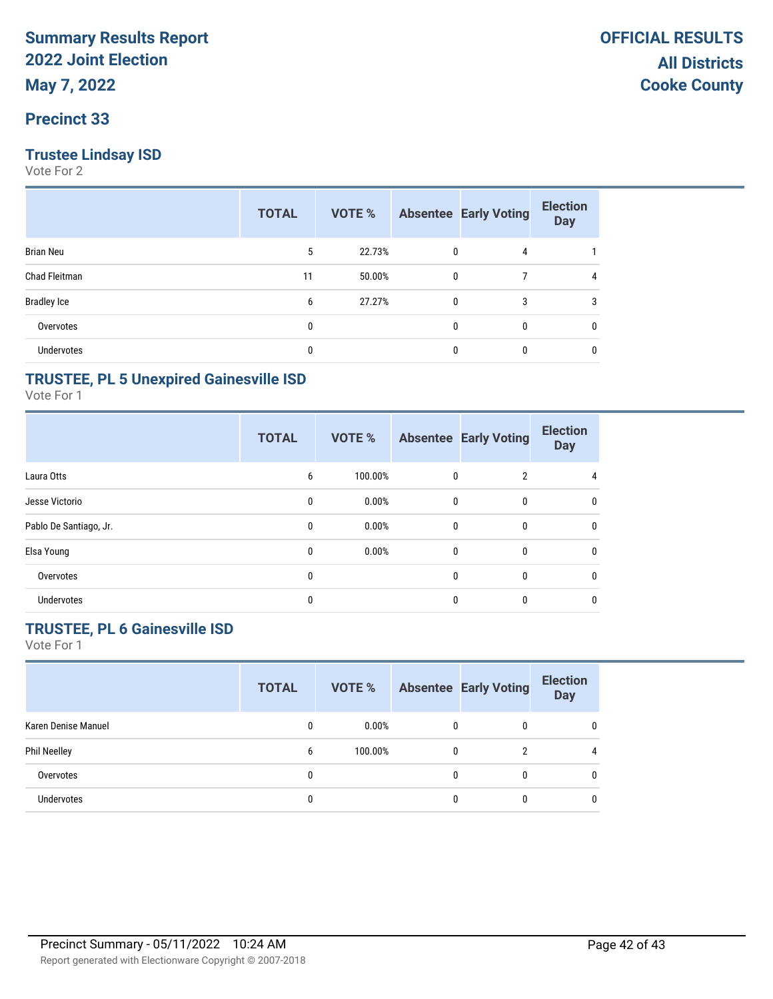### **Precinct 33**

### **Trustee Lindsay ISD**

Vote For 2

|                    | <b>TOTAL</b> | VOTE % |   | <b>Absentee Early Voting</b> | <b>Election</b><br><b>Day</b> |
|--------------------|--------------|--------|---|------------------------------|-------------------------------|
| <b>Brian Neu</b>   | 5            | 22.73% | 0 | 4                            |                               |
| Chad Fleitman      | 11           | 50.00% | 0 |                              | 4                             |
| <b>Bradley Ice</b> | 6            | 27.27% | 0 | 3                            | 3                             |
| Overvotes          | 0            |        | 0 | 0                            | 0                             |
| <b>Undervotes</b>  | 0            |        | 0 | 0                            | 0                             |

### **TRUSTEE, PL 5 Unexpired Gainesville ISD**

Vote For 1

|                        | <b>TOTAL</b> | VOTE %  |              | <b>Absentee Early Voting</b> | <b>Election</b><br><b>Day</b> |
|------------------------|--------------|---------|--------------|------------------------------|-------------------------------|
| Laura Otts             | 6            | 100.00% | $\mathbf 0$  | $\overline{2}$               | 4                             |
| Jesse Victorio         | 0            | 0.00%   | $\mathbf 0$  | 0                            | 0                             |
| Pablo De Santiago, Jr. | 0            | 0.00%   | $\mathbf{0}$ | 0                            | $\mathbf{0}$                  |
| Elsa Young             | 0            | 0.00%   | $\mathbf{0}$ | $\bf{0}$                     | $\mathbf{0}$                  |
| Overvotes              | 0            |         | $\mathbf{0}$ | 0                            | 0                             |
| Undervotes             | 0            |         | $\mathbf{0}$ | 0                            | 0                             |

## **TRUSTEE, PL 6 Gainesville ISD**

|                     | <b>TOTAL</b> | VOTE %   |          | <b>Absentee Early Voting</b> | <b>Election</b><br><b>Day</b> |
|---------------------|--------------|----------|----------|------------------------------|-------------------------------|
| Karen Denise Manuel | 0            | $0.00\%$ | $\Omega$ | $\Omega$                     | 0                             |
| <b>Phil Neelley</b> | 6            | 100.00%  | $\Omega$ |                              | 4                             |
| Overvotes           | 0            |          |          |                              | $\Omega$                      |
| <b>Undervotes</b>   | 0            |          |          |                              | $\Omega$                      |